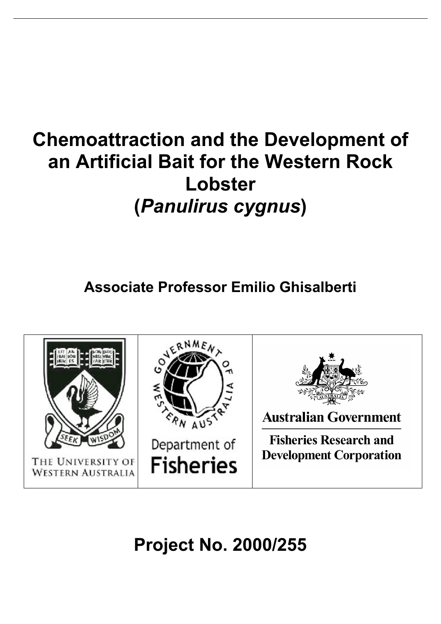## **Chemoattraction and the Development of an Artificial Bait for the Western Rock Lobster (***Panulirus cygnus***)**

**Associate Professor Emilio Ghisalberti**



**Project No. 2000/255**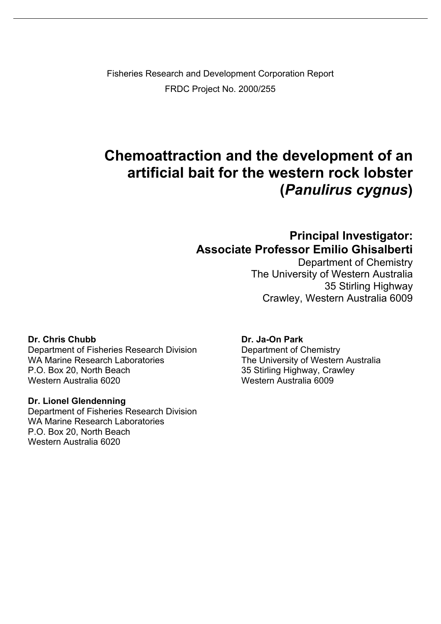Fisheries Research and Development Corporation Report FRDC Project No. 2000/255

## **Chemoattraction and the development of an artificial bait for the western rock lobster (***Panulirus cygnus***)**

## **Principal Investigator: Associate Professor Emilio Ghisalberti**

Department of Chemistry The University of Western Australia 35 Stirling Highway Crawley, Western Australia 6009

#### **Dr. Chris Chubb Dr. Ja-On Park**

Department of Fisheries Research Division Department of Chemistry WA Marine Research Laboratories The University of Western Australia<br>P.O. Box 20. North Beach 35 Stirling Highway, Crawley P.O. Box 20, North Beach 35 Stirling Highway, Crawley<br>Western Australia 6020 Vestern Australia 6009

#### **Dr. Lionel Glendenning**

Department of Fisheries Research Division WA Marine Research Laboratories P.O. Box 20, North Beach Western Australia 6020

Western Australia 6009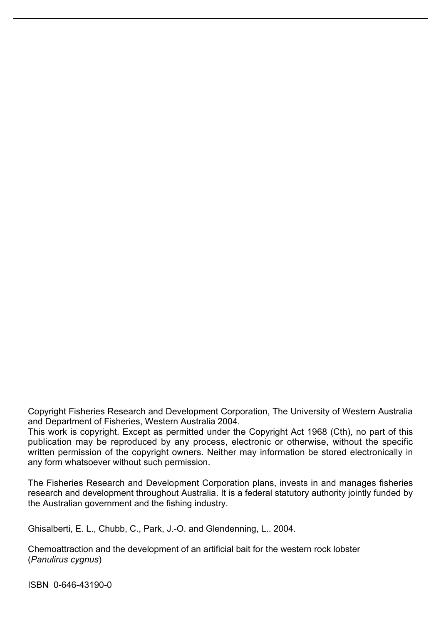Copyright Fisheries Research and Development Corporation, The University of Western Australia and Department of Fisheries, Western Australia 2004.

This work is copyright. Except as permitted under the Copyright Act 1968 (Cth), no part of this publication may be reproduced by any process, electronic or otherwise, without the specific written permission of the copyright owners. Neither may information be stored electronically in any form whatsoever without such permission.

The Fisheries Research and Development Corporation plans, invests in and manages fisheries research and development throughout Australia. It is a federal statutory authority jointly funded by the Australian government and the fishing industry.

Ghisalberti, E. L., Chubb, C., Park, J.-O. and Glendenning, L.. 2004.

Chemoattraction and the development of an artificial bait for the western rock lobster (*Panulirus cygnus*)

ISBN 0-646-43190-0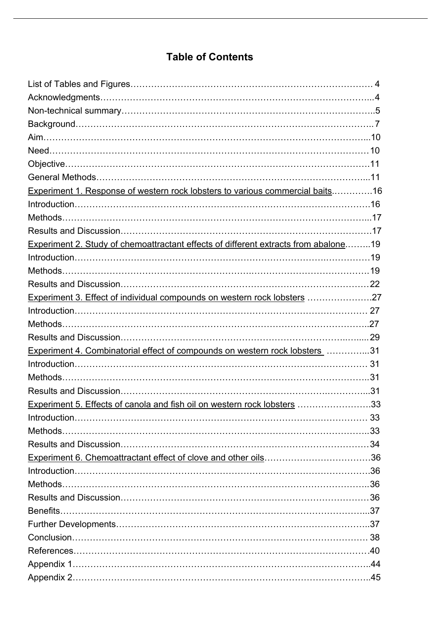## **Table of Contents**

| Experiment 1. Response of western rock lobsters to various commercial baits16       |  |
|-------------------------------------------------------------------------------------|--|
|                                                                                     |  |
|                                                                                     |  |
|                                                                                     |  |
| Experiment 2. Study of chemoattractant effects of different extracts from abalone19 |  |
|                                                                                     |  |
|                                                                                     |  |
|                                                                                     |  |
| Experiment 3. Effect of individual compounds on western rock lobsters 27            |  |
|                                                                                     |  |
|                                                                                     |  |
|                                                                                     |  |
| Experiment 4. Combinatorial effect of compounds on western rock lobsters 31         |  |
|                                                                                     |  |
|                                                                                     |  |
|                                                                                     |  |
| Experiment 5. Effects of canola and fish oil on western rock lobsters 33            |  |
|                                                                                     |  |
|                                                                                     |  |
|                                                                                     |  |
|                                                                                     |  |
|                                                                                     |  |
|                                                                                     |  |
|                                                                                     |  |
|                                                                                     |  |
|                                                                                     |  |
|                                                                                     |  |
|                                                                                     |  |
|                                                                                     |  |
|                                                                                     |  |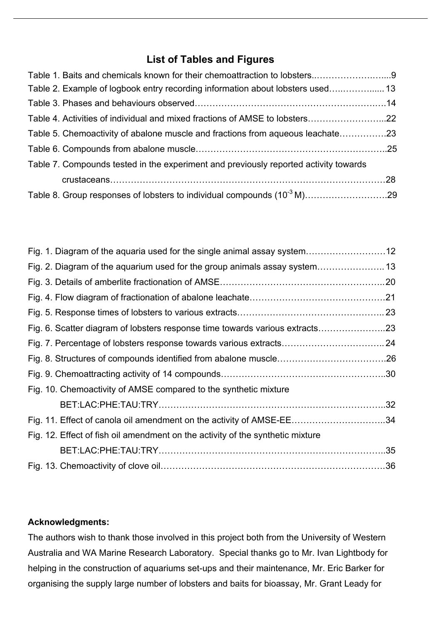## **List of Tables and Figures**

| Table 2. Example of logbook entry recording information about lobsters used 13       |  |
|--------------------------------------------------------------------------------------|--|
|                                                                                      |  |
| Table 4. Activities of individual and mixed fractions of AMSE to lobsters22          |  |
| Table 5. Chemoactivity of abalone muscle and fractions from aqueous leachate23       |  |
|                                                                                      |  |
| Table 7. Compounds tested in the experiment and previously reported activity towards |  |
|                                                                                      |  |
|                                                                                      |  |

| Fig. 1. Diagram of the aquaria used for the single animal assay system12       |  |
|--------------------------------------------------------------------------------|--|
|                                                                                |  |
|                                                                                |  |
|                                                                                |  |
|                                                                                |  |
|                                                                                |  |
|                                                                                |  |
|                                                                                |  |
|                                                                                |  |
| Fig. 10. Chemoactivity of AMSE compared to the synthetic mixture               |  |
|                                                                                |  |
| Fig. 11. Effect of canola oil amendment on the activity of AMSE-EE34           |  |
| Fig. 12. Effect of fish oil amendment on the activity of the synthetic mixture |  |
|                                                                                |  |
|                                                                                |  |

#### **Acknowledgments:**

The authors wish to thank those involved in this project both from the University of Western Australia and WA Marine Research Laboratory. Special thanks go to Mr. Ivan Lightbody for helping in the construction of aquariums set-ups and their maintenance, Mr. Eric Barker for organising the supply large number of lobsters and baits for bioassay, Mr. Grant Leady for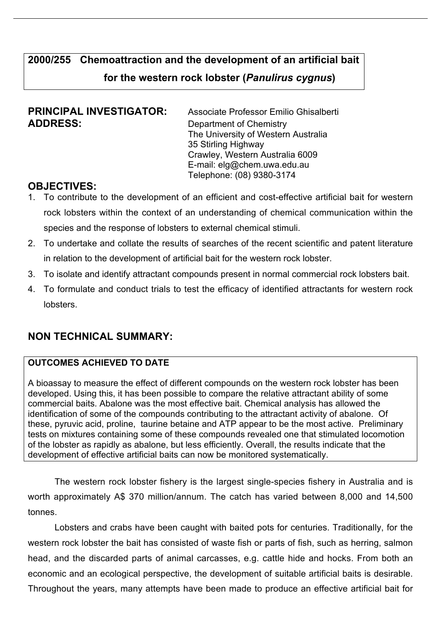## **2000/255 Chemoattraction and the development of an artificial bait for the western rock lobster (***Panulirus cygnus***)**

# **ADDRESS:** Department of Chemistry

**PRINCIPAL INVESTIGATOR:** Associate Professor Emilio Ghisalberti The University of Western Australia 35 Stirling Highway Crawley, Western Australia 6009 E-mail: elg@chem.uwa.edu.au Telephone: (08) 9380-3174

## **OBJECTIVES:**

- 1. To contribute to the development of an efficient and cost-effective artificial bait for western rock lobsters within the context of an understanding of chemical communication within the species and the response of lobsters to external chemical stimuli.
- 2. To undertake and collate the results of searches of the recent scientific and patent literature in relation to the development of artificial bait for the western rock lobster.
- 3. To isolate and identify attractant compounds present in normal commercial rock lobsters bait.
- 4. To formulate and conduct trials to test the efficacy of identified attractants for western rock lobsters.

## **NON TECHNICAL SUMMARY:**

## **OUTCOMES ACHIEVED TO DATE**

A bioassay to measure the effect of different compounds on the western rock lobster has been developed. Using this, it has been possible to compare the relative attractant ability of some commercial baits. Abalone was the most effective bait. Chemical analysis has allowed the identification of some of the compounds contributing to the attractant activity of abalone. Of these, pyruvic acid, proline, taurine betaine and ATP appear to be the most active. Preliminary tests on mixtures containing some of these compounds revealed one that stimulated locomotion of the lobster as rapidly as abalone, but less efficiently. Overall, the results indicate that the development of effective artificial baits can now be monitored systematically.

The western rock lobster fishery is the largest single-species fishery in Australia and is worth approximately A\$ 370 million/annum. The catch has varied between 8,000 and 14,500 tonnes.

Lobsters and crabs have been caught with baited pots for centuries. Traditionally, for the western rock lobster the bait has consisted of waste fish or parts of fish, such as herring, salmon head, and the discarded parts of animal carcasses, e.g. cattle hide and hocks. From both an economic and an ecological perspective, the development of suitable artificial baits is desirable. Throughout the years, many attempts have been made to produce an effective artificial bait for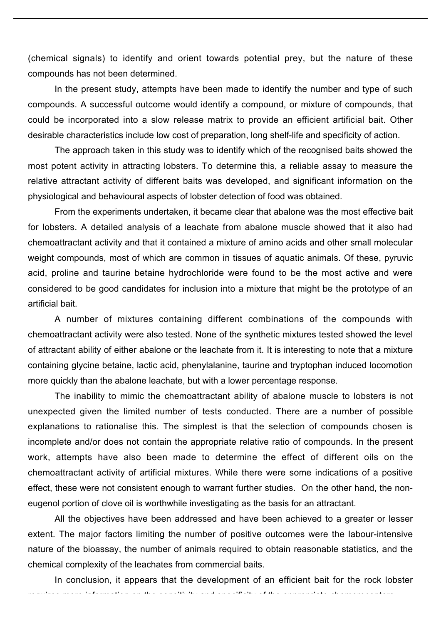(chemical signals) to identify and orient towards potential prey, but the nature of these compounds has not been determined.

In the present study, attempts have been made to identify the number and type of such compounds. A successful outcome would identify a compound, or mixture of compounds, that could be incorporated into a slow release matrix to provide an efficient artificial bait. Other desirable characteristics include low cost of preparation, long shelf-life and specificity of action.

The approach taken in this study was to identify which of the recognised baits showed the most potent activity in attracting lobsters. To determine this, a reliable assay to measure the relative attractant activity of different baits was developed, and significant information on the physiological and behavioural aspects of lobster detection of food was obtained.

From the experiments undertaken, it became clear that abalone was the most effective bait for lobsters. A detailed analysis of a leachate from abalone muscle showed that it also had chemoattractant activity and that it contained a mixture of amino acids and other small molecular weight compounds, most of which are common in tissues of aquatic animals. Of these, pyruvic acid, proline and taurine betaine hydrochloride were found to be the most active and were considered to be good candidates for inclusion into a mixture that might be the prototype of an artificial bait.

A number of mixtures containing different combinations of the compounds with chemoattractant activity were also tested. None of the synthetic mixtures tested showed the level of attractant ability of either abalone or the leachate from it. It is interesting to note that a mixture containing glycine betaine, lactic acid, phenylalanine, taurine and tryptophan induced locomotion more quickly than the abalone leachate, but with a lower percentage response.

The inability to mimic the chemoattractant ability of abalone muscle to lobsters is not unexpected given the limited number of tests conducted. There are a number of possible explanations to rationalise this. The simplest is that the selection of compounds chosen is incomplete and/or does not contain the appropriate relative ratio of compounds. In the present work, attempts have also been made to determine the effect of different oils on the chemoattractant activity of artificial mixtures. While there were some indications of a positive effect, these were not consistent enough to warrant further studies. On the other hand, the noneugenol portion of clove oil is worthwhile investigating as the basis for an attractant.

All the objectives have been addressed and have been achieved to a greater or lesser extent. The major factors limiting the number of positive outcomes were the labour-intensive nature of the bioassay, the number of animals required to obtain reasonable statistics, and the chemical complexity of the leachates from commercial baits.

In conclusion, it appears that the development of an efficient bait for the rock lobster

requires more information on the sensitivity and specificity of the appropriate chemoreceptors.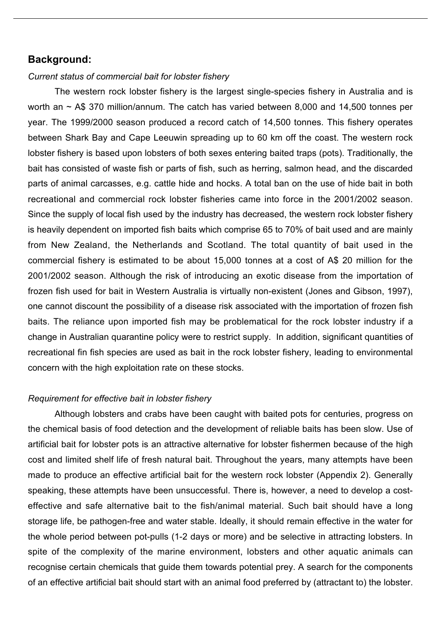#### **Background:**

#### *Current status of commercial bait for lobster fishery*

The western rock lobster fishery is the largest single-species fishery in Australia and is worth an ~ A\$ 370 million/annum. The catch has varied between 8,000 and 14,500 tonnes per year. The 1999/2000 season produced a record catch of 14,500 tonnes. This fishery operates between Shark Bay and Cape Leeuwin spreading up to 60 km off the coast. The western rock lobster fishery is based upon lobsters of both sexes entering baited traps (pots). Traditionally, the bait has consisted of waste fish or parts of fish, such as herring, salmon head, and the discarded parts of animal carcasses, e.g. cattle hide and hocks. A total ban on the use of hide bait in both recreational and commercial rock lobster fisheries came into force in the 2001/2002 season. Since the supply of local fish used by the industry has decreased, the western rock lobster fishery is heavily dependent on imported fish baits which comprise 65 to 70% of bait used and are mainly from New Zealand, the Netherlands and Scotland. The total quantity of bait used in the commercial fishery is estimated to be about 15,000 tonnes at a cost of A\$ 20 million for the 2001/2002 season. Although the risk of introducing an exotic disease from the importation of frozen fish used for bait in Western Australia is virtually non-existent (Jones and Gibson, 1997), one cannot discount the possibility of a disease risk associated with the importation of frozen fish baits. The reliance upon imported fish may be problematical for the rock lobster industry if a change in Australian quarantine policy were to restrict supply. In addition, significant quantities of recreational fin fish species are used as bait in the rock lobster fishery, leading to environmental concern with the high exploitation rate on these stocks.

#### *Requirement for effective bait in lobster fishery*

Although lobsters and crabs have been caught with baited pots for centuries, progress on the chemical basis of food detection and the development of reliable baits has been slow. Use of artificial bait for lobster pots is an attractive alternative for lobster fishermen because of the high cost and limited shelf life of fresh natural bait. Throughout the years, many attempts have been made to produce an effective artificial bait for the western rock lobster (Appendix 2). Generally speaking, these attempts have been unsuccessful. There is, however, a need to develop a costeffective and safe alternative bait to the fish/animal material. Such bait should have a long storage life, be pathogen-free and water stable. Ideally, it should remain effective in the water for the whole period between pot-pulls (1-2 days or more) and be selective in attracting lobsters. In spite of the complexity of the marine environment, lobsters and other aquatic animals can recognise certain chemicals that guide them towards potential prey. A search for the components of an effective artificial bait should start with an animal food preferred by (attractant to) the lobster.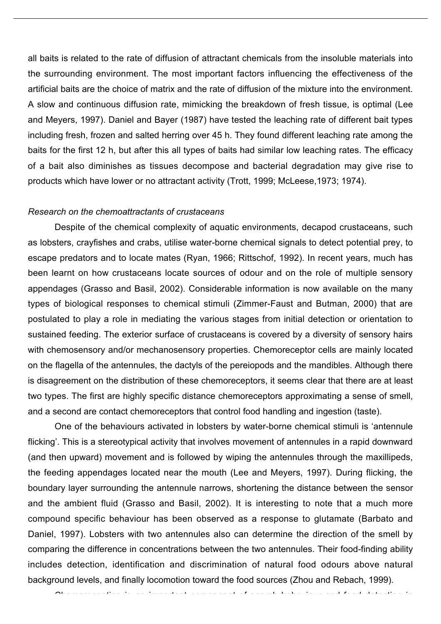all baits is related to the rate of diffusion of attractant chemicals from the insoluble materials into the surrounding environment. The most important factors influencing the effectiveness of the artificial baits are the choice of matrix and the rate of diffusion of the mixture into the environment. A slow and continuous diffusion rate, mimicking the breakdown of fresh tissue, is optimal (Lee and Meyers, 1997). Daniel and Bayer (1987) have tested the leaching rate of different bait types including fresh, frozen and salted herring over 45 h. They found different leaching rate among the baits for the first 12 h, but after this all types of baits had similar low leaching rates. The efficacy of a bait also diminishes as tissues decompose and bacterial degradation may give rise to products which have lower or no attractant activity (Trott, 1999; McLeese,1973; 1974).

#### *Research on the chemoattractants of crustaceans*

Despite of the chemical complexity of aquatic environments, decapod crustaceans, such as lobsters, crayfishes and crabs, utilise water-borne chemical signals to detect potential prey, to escape predators and to locate mates (Ryan, 1966; Rittschof, 1992). In recent years, much has been learnt on how crustaceans locate sources of odour and on the role of multiple sensory appendages (Grasso and Basil, 2002). Considerable information is now available on the many types of biological responses to chemical stimuli (Zimmer-Faust and Butman, 2000) that are postulated to play a role in mediating the various stages from initial detection or orientation to sustained feeding. The exterior surface of crustaceans is covered by a diversity of sensory hairs with chemosensory and/or mechanosensory properties. Chemoreceptor cells are mainly located on the flagella of the antennules, the dactyls of the pereiopods and the mandibles. Although there is disagreement on the distribution of these chemoreceptors, it seems clear that there are at least two types. The first are highly specific distance chemoreceptors approximating a sense of smell, and a second are contact chemoreceptors that control food handling and ingestion (taste).

One of the behaviours activated in lobsters by water-borne chemical stimuli is 'antennule flicking'. This is a stereotypical activity that involves movement of antennules in a rapid downward (and then upward) movement and is followed by wiping the antennules through the maxillipeds, the feeding appendages located near the mouth (Lee and Meyers, 1997). During flicking, the boundary layer surrounding the antennule narrows, shortening the distance between the sensor and the ambient fluid (Grasso and Basil, 2002). It is interesting to note that a much more compound specific behaviour has been observed as a response to glutamate (Barbato and Daniel, 1997). Lobsters with two antennules also can determine the direction of the smell by comparing the difference in concentrations between the two antennules. Their food-finding ability includes detection, identification and discrimination of natural food odours above natural background levels, and finally locomotion toward the food sources (Zhou and Rebach, 1999).

Chemoreception is an important component of search behaviour and food detection in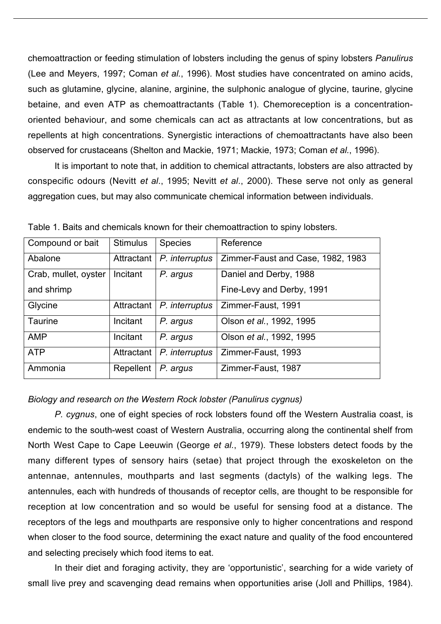chemoattraction or feeding stimulation of lobsters including the genus of spiny lobsters *Panulirus* (Lee and Meyers, 1997; Coman *et al.*, 1996). Most studies have concentrated on amino acids, such as glutamine, glycine, alanine, arginine, the sulphonic analogue of glycine, taurine, glycine betaine, and even ATP as chemoattractants (Table 1). Chemoreception is a concentrationoriented behaviour, and some chemicals can act as attractants at low concentrations, but as repellents at high concentrations. Synergistic interactions of chemoattractants have also been observed for crustaceans (Shelton and Mackie, 1971; Mackie, 1973; Coman *et al.*, 1996).

It is important to note that, in addition to chemical attractants, lobsters are also attracted by conspecific odours (Nevitt *et al*., 1995; Nevitt *et al*., 2000). These serve not only as general aggregation cues, but may also communicate chemical information between individuals.

| Compound or bait     | <b>Stimulus</b> | <b>Species</b> | Reference                         |
|----------------------|-----------------|----------------|-----------------------------------|
| Abalone              | Attractant      | P. interruptus | Zimmer-Faust and Case, 1982, 1983 |
| Crab, mullet, oyster | Incitant        | P. argus       | Daniel and Derby, 1988            |
| and shrimp           |                 |                | Fine-Levy and Derby, 1991         |
| Glycine              | Attractant      | P. interruptus | Zimmer-Faust, 1991                |
| <b>Taurine</b>       | Incitant        | P. argus       | Olson et al., 1992, 1995          |
| <b>AMP</b>           | Incitant        | P. argus       | Olson et al., 1992, 1995          |
| <b>ATP</b>           | Attractant      | P. interruptus | Zimmer-Faust, 1993                |
| Ammonia              | Repellent       | P. argus       | Zimmer-Faust, 1987                |

Table 1. Baits and chemicals known for their chemoattraction to spiny lobsters.

#### *Biology and research on the Western Rock lobster (Panulirus cygnus)*

*P. cygnus*, one of eight species of rock lobsters found off the Western Australia coast, is endemic to the south-west coast of Western Australia, occurring along the continental shelf from North West Cape to Cape Leeuwin (George *et al.*, 1979). These lobsters detect foods by the many different types of sensory hairs (setae) that project through the exoskeleton on the antennae, antennules, mouthparts and last segments (dactyls) of the walking legs. The antennules, each with hundreds of thousands of receptor cells, are thought to be responsible for reception at low concentration and so would be useful for sensing food at a distance. The receptors of the legs and mouthparts are responsive only to higher concentrations and respond when closer to the food source, determining the exact nature and quality of the food encountered and selecting precisely which food items to eat.

In their diet and foraging activity, they are 'opportunistic', searching for a wide variety of small live prey and scavenging dead remains when opportunities arise (Joll and Phillips, 1984).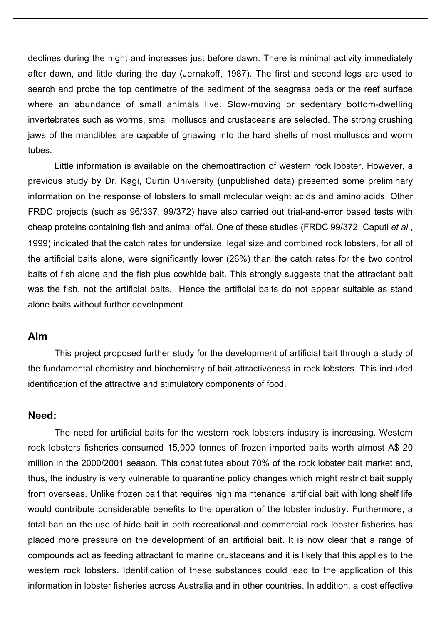declines during the night and increases just before dawn. There is minimal activity immediately after dawn, and little during the day (Jernakoff, 1987). The first and second legs are used to search and probe the top centimetre of the sediment of the seagrass beds or the reef surface where an abundance of small animals live. Slow-moving or sedentary bottom-dwelling invertebrates such as worms, small molluscs and crustaceans are selected. The strong crushing jaws of the mandibles are capable of gnawing into the hard shells of most molluscs and worm tubes.

Little information is available on the chemoattraction of western rock lobster. However, a previous study by Dr. Kagi, Curtin University (unpublished data) presented some preliminary information on the response of lobsters to small molecular weight acids and amino acids. Other FRDC projects (such as 96/337, 99/372) have also carried out trial-and-error based tests with cheap proteins containing fish and animal offal. One of these studies (FRDC 99/372; Caputi *et al.*, 1999) indicated that the catch rates for undersize, legal size and combined rock lobsters, for all of the artificial baits alone, were significantly lower (26%) than the catch rates for the two control baits of fish alone and the fish plus cowhide bait. This strongly suggests that the attractant bait was the fish, not the artificial baits. Hence the artificial baits do not appear suitable as stand alone baits without further development.

#### **Aim**

This project proposed further study for the development of artificial bait through a study of the fundamental chemistry and biochemistry of bait attractiveness in rock lobsters. This included identification of the attractive and stimulatory components of food.

#### **Need:**

The need for artificial baits for the western rock lobsters industry is increasing. Western rock lobsters fisheries consumed 15,000 tonnes of frozen imported baits worth almost A\$ 20 million in the 2000/2001 season. This constitutes about 70% of the rock lobster bait market and, thus, the industry is very vulnerable to quarantine policy changes which might restrict bait supply from overseas. Unlike frozen bait that requires high maintenance, artificial bait with long shelf life would contribute considerable benefits to the operation of the lobster industry. Furthermore, a total ban on the use of hide bait in both recreational and commercial rock lobster fisheries has placed more pressure on the development of an artificial bait. It is now clear that a range of compounds act as feeding attractant to marine crustaceans and it is likely that this applies to the western rock lobsters. Identification of these substances could lead to the application of this information in lobster fisheries across Australia and in other countries. In addition, a cost effective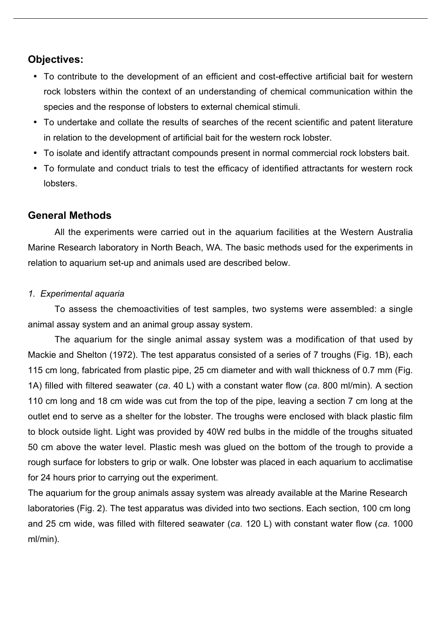## **Objectives:**

- To contribute to the development of an efficient and cost-effective artificial bait for western rock lobsters within the context of an understanding of chemical communication within the species and the response of lobsters to external chemical stimuli.
- To undertake and collate the results of searches of the recent scientific and patent literature in relation to the development of artificial bait for the western rock lobster.
- To isolate and identify attractant compounds present in normal commercial rock lobsters bait.
- To formulate and conduct trials to test the efficacy of identified attractants for western rock lobsters.

### **General Methods**

All the experiments were carried out in the aquarium facilities at the Western Australia Marine Research laboratory in North Beach, WA. The basic methods used for the experiments in relation to aquarium set-up and animals used are described below.

#### *1. Experimental aquaria*

To assess the chemoactivities of test samples, two systems were assembled: a single animal assay system and an animal group assay system.

The aquarium for the single animal assay system was a modification of that used by Mackie and Shelton (1972). The test apparatus consisted of a series of 7 troughs (Fig. 1B), each 115 cm long, fabricated from plastic pipe, 25 cm diameter and with wall thickness of 0.7 mm (Fig. 1A) filled with filtered seawater (*ca*. 40 L) with a constant water flow (*ca*. 800 ml/min). A section 110 cm long and 18 cm wide was cut from the top of the pipe, leaving a section 7 cm long at the outlet end to serve as a shelter for the lobster. The troughs were enclosed with black plastic film to block outside light. Light was provided by 40W red bulbs in the middle of the troughs situated 50 cm above the water level. Plastic mesh was glued on the bottom of the trough to provide a rough surface for lobsters to grip or walk. One lobster was placed in each aquarium to acclimatise for 24 hours prior to carrying out the experiment.

The aquarium for the group animals assay system was already available at the Marine Research laboratories (Fig. 2). The test apparatus was divided into two sections. Each section, 100 cm long and 25 cm wide, was filled with filtered seawater (*ca.* 120 L) with constant water flow (*ca.* 1000 ml/min).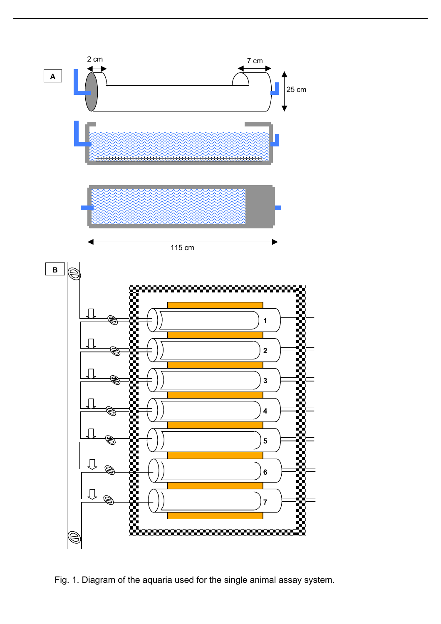

Fig. 1. Diagram of the aquaria used for the single animal assay system.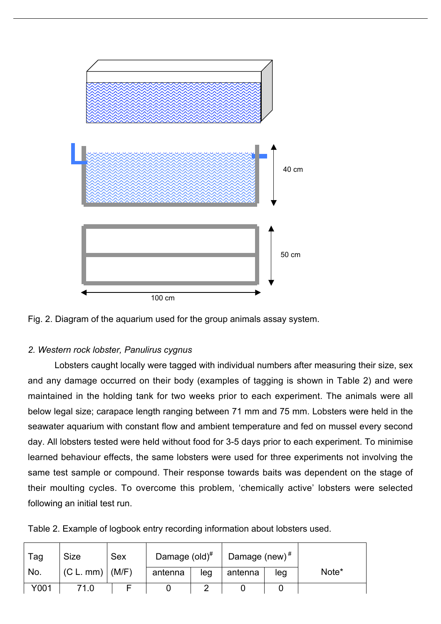



#### *2. Western rock lobster, Panulirus cygnus*

Lobsters caught locally were tagged with individual numbers after measuring their size, sex and any damage occurred on their body (examples of tagging is shown in Table 2) and were maintained in the holding tank for two weeks prior to each experiment. The animals were all below legal size; carapace length ranging between 71 mm and 75 mm. Lobsters were held in the seawater aquarium with constant flow and ambient temperature and fed on mussel every second day. All lobsters tested were held without food for 3-5 days prior to each experiment. To minimise learned behaviour effects, the same lobsters were used for three experiments not involving the same test sample or compound. Their response towards baits was dependent on the stage of their moulting cycles. To overcome this problem, 'chemically active' lobsters were selected following an initial test run.

|  |  | Table 2. Example of logbook entry recording information about lobsters used. |  |
|--|--|------------------------------------------------------------------------------|--|
|  |  |                                                                              |  |

| Tag  | <b>Size</b>         | <b>Sex</b> | Damage $\left(\text{old}\right)^{\#}$ |     | Damage (new) $#$ |     |       |
|------|---------------------|------------|---------------------------------------|-----|------------------|-----|-------|
| No.  | $(C L. mm)$ $(M/F)$ |            | antenna                               | leg | antenna          | leg | Note* |
| Y001 |                     |            |                                       |     |                  |     |       |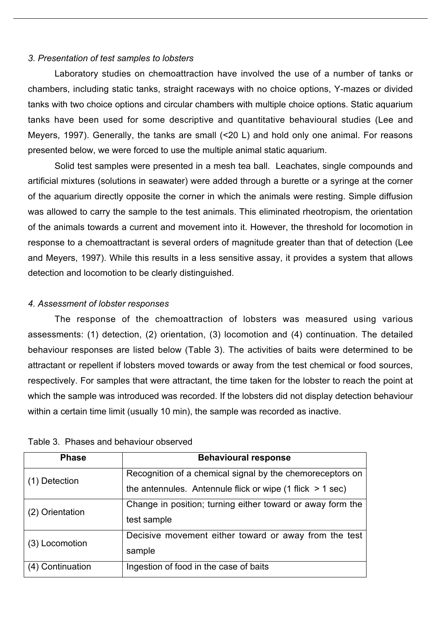#### *3. Presentation of test samples to lobsters*

Laboratory studies on chemoattraction have involved the use of a number of tanks or chambers, including static tanks, straight raceways with no choice options, Y-mazes or divided tanks with two choice options and circular chambers with multiple choice options. Static aquarium tanks have been used for some descriptive and quantitative behavioural studies (Lee and Meyers, 1997). Generally, the tanks are small (<20 L) and hold only one animal. For reasons presented below, we were forced to use the multiple animal static aquarium.

Solid test samples were presented in a mesh tea ball. Leachates, single compounds and artificial mixtures (solutions in seawater) were added through a burette or a syringe at the corner of the aquarium directly opposite the corner in which the animals were resting. Simple diffusion was allowed to carry the sample to the test animals. This eliminated rheotropism, the orientation of the animals towards a current and movement into it. However, the threshold for locomotion in response to a chemoattractant is several orders of magnitude greater than that of detection (Lee and Meyers, 1997). While this results in a less sensitive assay, it provides a system that allows detection and locomotion to be clearly distinguished.

#### *4. Assessment of lobster responses*

The response of the chemoattraction of lobsters was measured using various assessments: (1) detection, (2) orientation, (3) locomotion and (4) continuation. The detailed behaviour responses are listed below (Table 3). The activities of baits were determined to be attractant or repellent if lobsters moved towards or away from the test chemical or food sources, respectively. For samples that were attractant, the time taken for the lobster to reach the point at which the sample was introduced was recorded. If the lobsters did not display detection behaviour within a certain time limit (usually 10 min), the sample was recorded as inactive.

| <b>Phase</b>     | <b>Behavioural response</b>                                   |
|------------------|---------------------------------------------------------------|
| (1) Detection    | Recognition of a chemical signal by the chemoreceptors on     |
|                  | the antennules. Antennule flick or wipe $(1$ flick $> 1$ sec) |
| (2) Orientation  | Change in position; turning either toward or away form the    |
|                  | test sample                                                   |
| (3) Locomotion   | Decisive movement either toward or away from the test         |
|                  | sample                                                        |
| (4) Continuation | Ingestion of food in the case of baits                        |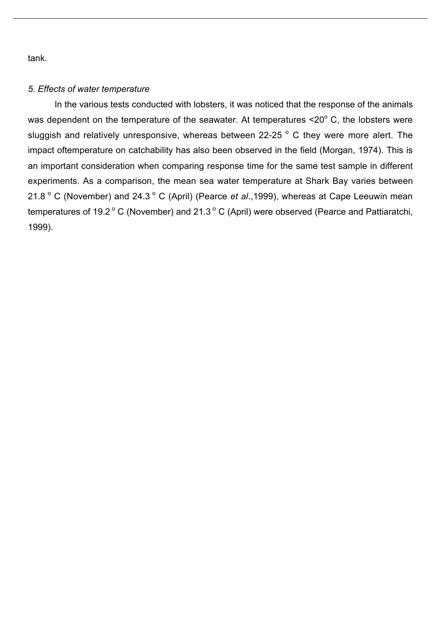tank.

#### *5. Effects of water temperature*

In the various tests conducted with lobsters, it was noticed that the response of the animals was dependent on the temperature of the seawater. At temperatures  $\leq 20^\circ$  C, the lobsters were sluggish and relatively unresponsive, whereas between 22-25  $\degree$  C they were more alert. The impact oftemperature on catchability has also been observed in the field (Morgan, 1974). This is an important consideration when comparing response time for the same test sample in different experiments. As a comparison, the mean sea water temperature at Shark Bay varies between 21.8 ° C (November) and 24.3 ° C (April) (Pearce *et al.*, 1999), whereas at Cape Leeuwin mean temperatures of 19.2 $\degree$  C (November) and 21.3 $\degree$  C (April) were observed (Pearce and Pattiaratchi, 1999).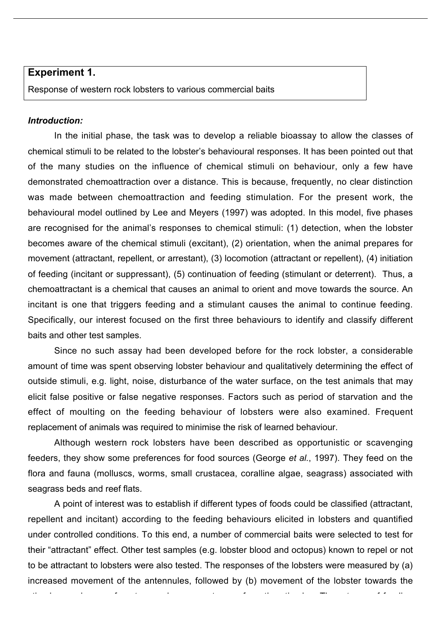#### **Experiment 1.**

Response of western rock lobsters to various commercial baits

#### *Introduction:*

In the initial phase, the task was to develop a reliable bioassay to allow the classes of chemical stimuli to be related to the lobster's behavioural responses. It has been pointed out that of the many studies on the influence of chemical stimuli on behaviour, only a few have demonstrated chemoattraction over a distance. This is because, frequently, no clear distinction was made between chemoattraction and feeding stimulation. For the present work, the behavioural model outlined by Lee and Meyers (1997) was adopted. In this model, five phases are recognised for the animal's responses to chemical stimuli: (1) detection, when the lobster becomes aware of the chemical stimuli (excitant), (2) orientation, when the animal prepares for movement (attractant, repellent, or arrestant), (3) locomotion (attractant or repellent), (4) initiation of feeding (incitant or suppressant), (5) continuation of feeding (stimulant or deterrent). Thus, a chemoattractant is a chemical that causes an animal to orient and move towards the source. An incitant is one that triggers feeding and a stimulant causes the animal to continue feeding. Specifically, our interest focused on the first three behaviours to identify and classify different baits and other test samples.

Since no such assay had been developed before for the rock lobster, a considerable amount of time was spent observing lobster behaviour and qualitatively determining the effect of outside stimuli, e.g. light, noise, disturbance of the water surface, on the test animals that may elicit false positive or false negative responses. Factors such as period of starvation and the effect of moulting on the feeding behaviour of lobsters were also examined. Frequent replacement of animals was required to minimise the risk of learned behaviour.

Although western rock lobsters have been described as opportunistic or scavenging feeders, they show some preferences for food sources (George *et al.*, 1997). They feed on the flora and fauna (molluscs, worms, small crustacea, coralline algae, seagrass) associated with seagrass beds and reef flats.

A point of interest was to establish if different types of foods could be classified (attractant, repellent and incitant) according to the feeding behaviours elicited in lobsters and quantified under controlled conditions. To this end, a number of commercial baits were selected to test for their "attractant" effect. Other test samples (e.g. lobster blood and octopus) known to repel or not to be attractant to lobsters were also tested. The responses of the lobsters were measured by (a) increased movement of the antennules, followed by (b) movement of the lobster towards the

stimulus or change of posture and movement away from the stimulus. Three types of feeding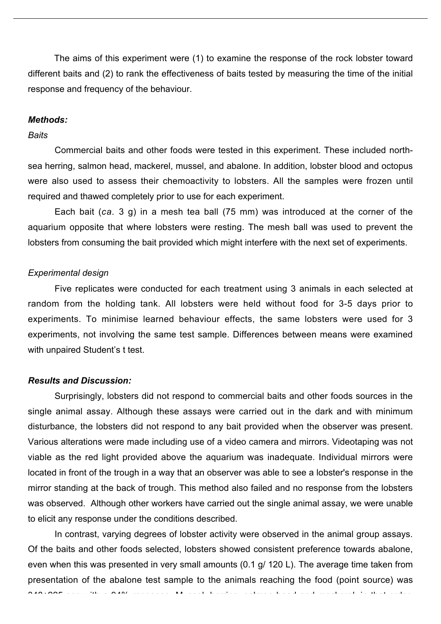The aims of this experiment were (1) to examine the response of the rock lobster toward different baits and (2) to rank the effectiveness of baits tested by measuring the time of the initial response and frequency of the behaviour.

#### *Methods:*

#### *Baits*

Commercial baits and other foods were tested in this experiment. These included northsea herring, salmon head, mackerel, mussel, and abalone. In addition, lobster blood and octopus were also used to assess their chemoactivity to lobsters. All the samples were frozen until required and thawed completely prior to use for each experiment.

Each bait (*ca.* 3 g) in a mesh tea ball (75 mm) was introduced at the corner of the aquarium opposite that where lobsters were resting. The mesh ball was used to prevent the lobsters from consuming the bait provided which might interfere with the next set of experiments.

#### *Experimental design*

Five replicates were conducted for each treatment using 3 animals in each selected at random from the holding tank. All lobsters were held without food for 3-5 days prior to experiments. To minimise learned behaviour effects, the same lobsters were used for 3 experiments, not involving the same test sample. Differences between means were examined with unpaired Student's t test.

#### *Results and Discussion:*

Surprisingly, lobsters did not respond to commercial baits and other foods sources in the single animal assay. Although these assays were carried out in the dark and with minimum disturbance, the lobsters did not respond to any bait provided when the observer was present. Various alterations were made including use of a video camera and mirrors. Videotaping was not viable as the red light provided above the aquarium was inadequate. Individual mirrors were located in front of the trough in a way that an observer was able to see a lobster's response in the mirror standing at the back of trough. This method also failed and no response from the lobsters was observed. Although other workers have carried out the single animal assay, we were unable to elicit any response under the conditions described.

In contrast, varying degrees of lobster activity were observed in the animal group assays. Of the baits and other foods selected, lobsters showed consistent preference towards abalone, even when this was presented in very small amounts (0.1 g/ 120 L). The average time taken from presentation of the abalone test sample to the animals reaching the food (point source) was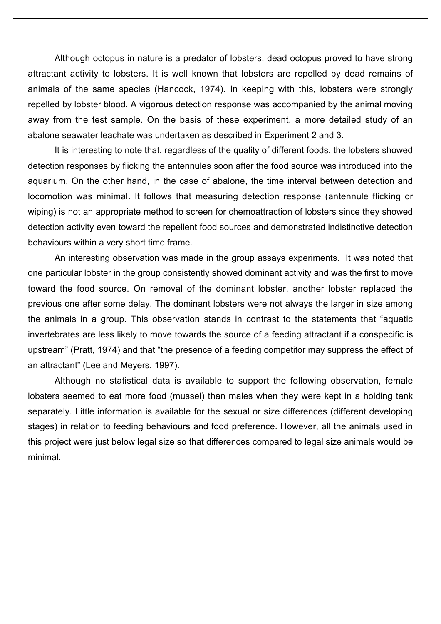Although octopus in nature is a predator of lobsters, dead octopus proved to have strong attractant activity to lobsters. It is well known that lobsters are repelled by dead remains of animals of the same species (Hancock, 1974). In keeping with this, lobsters were strongly repelled by lobster blood. A vigorous detection response was accompanied by the animal moving away from the test sample. On the basis of these experiment, a more detailed study of an abalone seawater leachate was undertaken as described in Experiment 2 and 3.

It is interesting to note that, regardless of the quality of different foods, the lobsters showed detection responses by flicking the antennules soon after the food source was introduced into the aquarium. On the other hand, in the case of abalone, the time interval between detection and locomotion was minimal. It follows that measuring detection response (antennule flicking or wiping) is not an appropriate method to screen for chemoattraction of lobsters since they showed detection activity even toward the repellent food sources and demonstrated indistinctive detection behaviours within a very short time frame.

An interesting observation was made in the group assays experiments. It was noted that one particular lobster in the group consistently showed dominant activity and was the first to move toward the food source. On removal of the dominant lobster, another lobster replaced the previous one after some delay. The dominant lobsters were not always the larger in size among the animals in a group. This observation stands in contrast to the statements that "aquatic invertebrates are less likely to move towards the source of a feeding attractant if a conspecific is upstream" (Pratt, 1974) and that "the presence of a feeding competitor may suppress the effect of an attractant" (Lee and Meyers, 1997).

Although no statistical data is available to support the following observation, female lobsters seemed to eat more food (mussel) than males when they were kept in a holding tank separately. Little information is available for the sexual or size differences (different developing stages) in relation to feeding behaviours and food preference. However, all the animals used in this project were just below legal size so that differences compared to legal size animals would be minimal.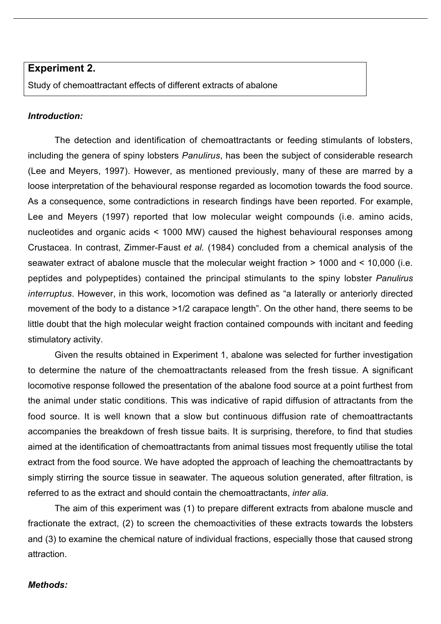#### **Experiment 2.**

Study of chemoattractant effects of different extracts of abalone

#### *Introduction:*

The detection and identification of chemoattractants or feeding stimulants of lobsters, including the genera of spiny lobsters *Panulirus*, has been the subject of considerable research (Lee and Meyers, 1997). However, as mentioned previously, many of these are marred by a loose interpretation of the behavioural response regarded as locomotion towards the food source. As a consequence, some contradictions in research findings have been reported. For example, Lee and Meyers (1997) reported that low molecular weight compounds (i.e. amino acids, nucleotides and organic acids < 1000 MW) caused the highest behavioural responses among Crustacea. In contrast, Zimmer-Faust *et al.* (1984) concluded from a chemical analysis of the seawater extract of abalone muscle that the molecular weight fraction > 1000 and < 10,000 (i.e. peptides and polypeptides) contained the principal stimulants to the spiny lobster *Panulirus interruptus*. However, in this work, locomotion was defined as "a laterally or anteriorly directed movement of the body to a distance >1/2 carapace length". On the other hand, there seems to be little doubt that the high molecular weight fraction contained compounds with incitant and feeding stimulatory activity.

Given the results obtained in Experiment 1, abalone was selected for further investigation to determine the nature of the chemoattractants released from the fresh tissue. A significant locomotive response followed the presentation of the abalone food source at a point furthest from the animal under static conditions. This was indicative of rapid diffusion of attractants from the food source. It is well known that a slow but continuous diffusion rate of chemoattractants accompanies the breakdown of fresh tissue baits. It is surprising, therefore, to find that studies aimed at the identification of chemoattractants from animal tissues most frequently utilise the total extract from the food source. We have adopted the approach of leaching the chemoattractants by simply stirring the source tissue in seawater. The aqueous solution generated, after filtration, is referred to as the extract and should contain the chemoattractants, *inter alia*.

The aim of this experiment was (1) to prepare different extracts from abalone muscle and fractionate the extract, (2) to screen the chemoactivities of these extracts towards the lobsters and (3) to examine the chemical nature of individual fractions, especially those that caused strong attraction.

#### *Methods:*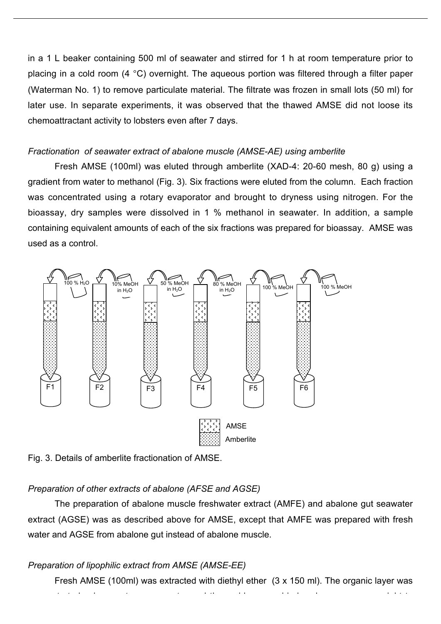in a 1 L beaker containing 500 ml of seawater and stirred for 1 h at room temperature prior to placing in a cold room (4 °C) overnight. The aqueous portion was filtered through a filter paper (Waterman No. 1) to remove particulate material. The filtrate was frozen in small lots (50 ml) for later use. In separate experiments, it was observed that the thawed AMSE did not loose its chemoattractant activity to lobsters even after 7 days.

#### *Fractionation of seawater extract of abalone muscle (AMSE-AE) using amberlite*

Fresh AMSE (100ml) was eluted through amberlite (XAD-4: 20-60 mesh, 80 g) using a gradient from water to methanol (Fig. 3). Six fractions were eluted from the column. Each fraction was concentrated using a rotary evaporator and brought to dryness using nitrogen. For the bioassay, dry samples were dissolved in 1 % methanol in seawater. In addition, a sample containing equivalent amounts of each of the six fractions was prepared for bioassay. AMSE was used as a control.



Fig. 3. Details of amberlite fractionation of AMSE.

### *Preparation of other extracts of abalone (AFSE and AGSE)*

The preparation of abalone muscle freshwater extract (AMFE) and abalone gut seawater extract (AGSE) was as described above for AMSE, except that AMFE was prepared with fresh water and AGSE from abalone gut instead of abalone muscle.

## *Preparation of lipophilic extract from AMSE (AMSE-EE)*

Fresh AMSE (100ml) was extracted with diethyl ether (3 x 150 ml). The organic layer was concentrated using a rotary evaporator and the residue was dried using the residue was dried under vacuum over<br>The residue was dried under vacuum over the residue was dried under vacuum over the residue was dried under va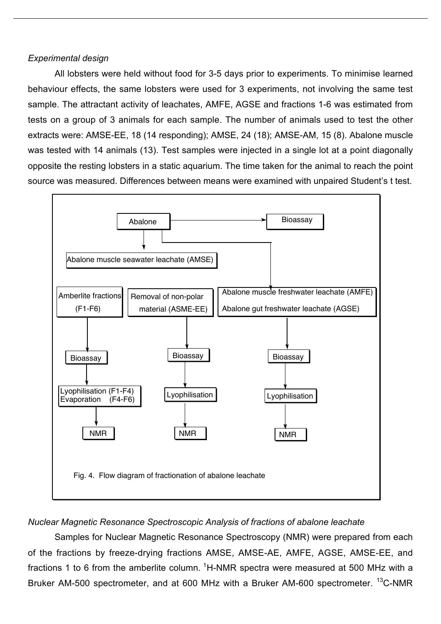#### *Experimental design*

All lobsters were held without food for 3-5 days prior to experiments. To minimise learned behaviour effects, the same lobsters were used for 3 experiments, not involving the same test sample. The attractant activity of leachates, AMFE, AGSE and fractions 1-6 was estimated from tests on a group of 3 animals for each sample. The number of animals used to test the other extracts were: AMSE-EE, 18 (14 responding); AMSE, 24 (18); AMSE-AM, 15 (8). Abalone muscle was tested with 14 animals (13). Test samples were injected in a single lot at a point diagonally opposite the resting lobsters in a static aquarium. The time taken for the animal to reach the point source was measured. Differences between means were examined with unpaired Student's t test.



### *Nuclear Magnetic Resonance Spectroscopic Analysis of fractions of abalone leachate*

Samples for Nuclear Magnetic Resonance Spectroscopy (NMR) were prepared from each of the fractions by freeze-drying fractions AMSE, AMSE-AE, AMFE, AGSE, AMSE-EE, and fractions 1 to 6 from the amberlite column. <sup>1</sup>H-NMR spectra were measured at 500 MHz with a Bruker AM-500 spectrometer, and at 600 MHz with a Bruker AM-600 spectrometer. <sup>13</sup>C-NMR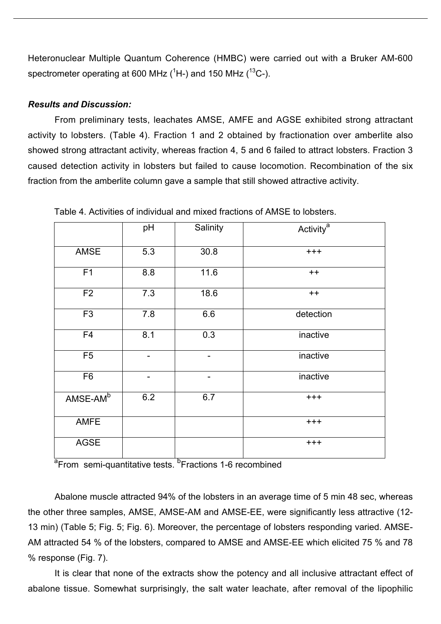Heteronuclear Multiple Quantum Coherence (HMBC) were carried out with a Bruker AM-600 spectrometer operating at 600 MHz ( ${}^{1}$ H-) and 150 MHz ( ${}^{13}$ C-).

#### *Results and Discussion:*

From preliminary tests, leachates AMSE, AMFE and AGSE exhibited strong attractant activity to lobsters. (Table 4). Fraction 1 and 2 obtained by fractionation over amberlite also showed strong attractant activity, whereas fraction 4, 5 and 6 failed to attract lobsters. Fraction 3 caused detection activity in lobsters but failed to cause locomotion. Recombination of the six fraction from the amberlite column gave a sample that still showed attractive activity.

|                | pH  | Salinity | Activity <sup>a</sup> |
|----------------|-----|----------|-----------------------|
| <b>AMSE</b>    | 5.3 | 30.8     | $++++$                |
| F1             | 8.8 | 11.6     | $++$                  |
| F <sub>2</sub> | 7.3 | 18.6     | $++$                  |
| F <sub>3</sub> | 7.8 | 6.6      | detection             |
| F <sub>4</sub> | 8.1 | 0.3      | inactive              |
| F <sub>5</sub> |     |          | inactive              |
| F <sub>6</sub> |     |          | inactive              |
| $AMSE-AMb$     | 6.2 | 6.7      | $^{+++}$              |
| <b>AMFE</b>    |     |          | $^{+++}$              |
| <b>AGSE</b>    |     |          | $+ + +$               |

Table 4. Activities of individual and mixed fractions of AMSE to lobsters.

a<sub>From</sub> semi-quantitative tests. <sup>b</sup>Fractions 1-6 recombined

Abalone muscle attracted 94% of the lobsters in an average time of 5 min 48 sec, whereas the other three samples, AMSE, AMSE-AM and AMSE-EE, were significantly less attractive (12- 13 min) (Table 5; Fig. 5; Fig. 6). Moreover, the percentage of lobsters responding varied. AMSE-AM attracted 54 % of the lobsters, compared to AMSE and AMSE-EE which elicited 75 % and 78 % response (Fig. 7).

It is clear that none of the extracts show the potency and all inclusive attractant effect of abalone tissue. Somewhat surprisingly, the salt water leachate, after removal of the lipophilic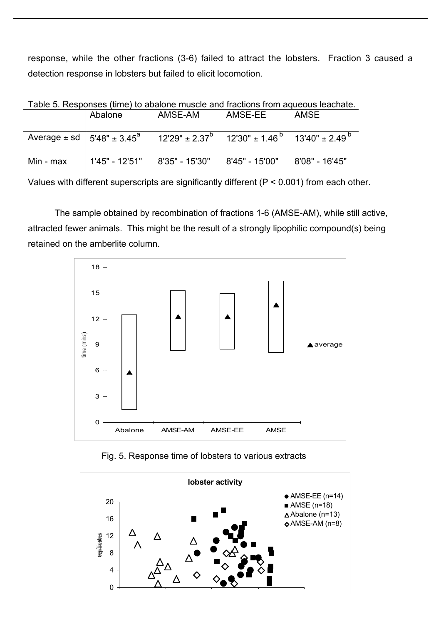response, while the other fractions (3-6) failed to attract the lobsters. Fraction 3 caused a detection response in lobsters but failed to elicit locomotion.

| Table 5. Responses (time) to abalone muscle and fractions from aqueous leachate. |         |                                                                                                                      |         |      |
|----------------------------------------------------------------------------------|---------|----------------------------------------------------------------------------------------------------------------------|---------|------|
|                                                                                  | Abalone | AMSE-AM                                                                                                              | AMSE-EE | AMSE |
|                                                                                  |         |                                                                                                                      |         |      |
|                                                                                  |         |                                                                                                                      |         |      |
|                                                                                  |         | Average $\pm$ sd $\left(5'48'' + 3.45^{a} \right)$ 12'29" $\pm 2.37^{b}$ 12'30" $\pm 1.46^{b}$ 13'40" $\pm 2.49^{b}$ |         |      |
|                                                                                  |         |                                                                                                                      |         |      |
| Min - max                                                                        |         | $1'45" - 12'51"$ 8'35" - 15'30" 8'45" - 15'00" 8'08" - 16'45"                                                        |         |      |
|                                                                                  |         |                                                                                                                      |         |      |
|                                                                                  |         |                                                                                                                      |         |      |

Table 5. Responses (time) to abalone muscle and fractions from aqueous leachate.

Values with different superscripts are significantly different (P < 0.001) from each other.

The sample obtained by recombination of fractions 1-6 (AMSE-AM), while still active, attracted fewer animals. This might be the result of a strongly lipophilic compound(s) being retained on the amberlite column.



Fig. 5. Response time of lobsters to various extracts



time (mins)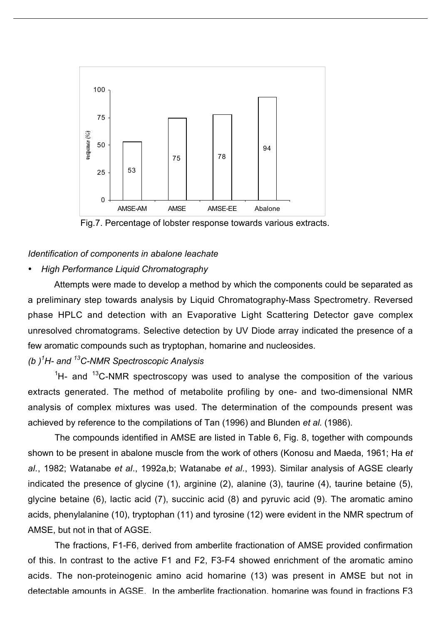

Fig.7. Percentage of lobster response towards various extracts.

#### *Identification of components in abalone leachate*

#### • *High Performance Liquid Chromatography*

Attempts were made to develop a method by which the components could be separated as a preliminary step towards analysis by Liquid Chromatography-Mass Spectrometry. Reversed phase HPLC and detection with an Evaporative Light Scattering Detector gave complex unresolved chromatograms. Selective detection by UV Diode array indicated the presence of a few aromatic compounds such as tryptophan, homarine and nucleosides.

## *(b )1 H- and 13C-NMR Spectroscopic Analysis*

 ${}^{1}$ H- and  ${}^{13}$ C-NMR spectroscopy was used to analyse the composition of the various extracts generated. The method of metabolite profiling by one- and two-dimensional NMR analysis of complex mixtures was used. The determination of the compounds present was achieved by reference to the compilations of Tan (1996) and Blunden *et al.* (1986).

The compounds identified in AMSE are listed in Table 6, Fig. 8, together with compounds shown to be present in abalone muscle from the work of others (Konosu and Maeda, 1961; Ha *et al.*, 1982; Watanabe *et al*., 1992a,b; Watanabe *et al*., 1993). Similar analysis of AGSE clearly indicated the presence of glycine (1), arginine (2), alanine (3), taurine (4), taurine betaine (5), glycine betaine (6), lactic acid (7), succinic acid (8) and pyruvic acid (9). The aromatic amino acids, phenylalanine (10), tryptophan (11) and tyrosine (12) were evident in the NMR spectrum of AMSE, but not in that of AGSE.

The fractions, F1-F6, derived from amberlite fractionation of AMSE provided confirmation of this. In contrast to the active F1 and F2, F3-F4 showed enrichment of the aromatic amino acids. The non-proteinogenic amino acid homarine (13) was present in AMSE but not in detectable amounts in AGSE. In the amberlite fractionation, homarine was found in fractions F3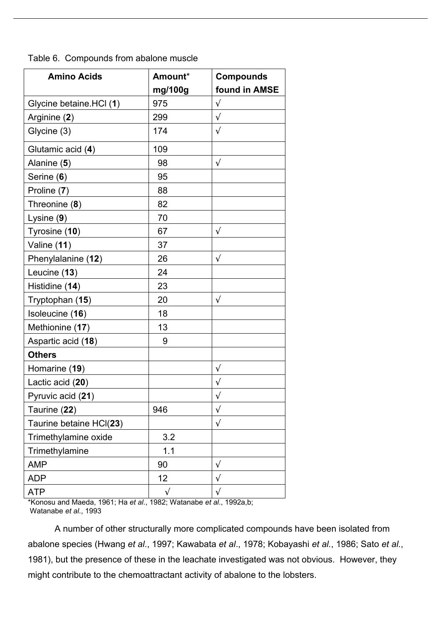| Table 6. Compounds from abalone muscle |  |  |  |  |  |
|----------------------------------------|--|--|--|--|--|
|----------------------------------------|--|--|--|--|--|

| <b>Amino Acids</b>      | Amount*    | <b>Compounds</b> |
|-------------------------|------------|------------------|
|                         | mg/100g    | found in AMSE    |
| Glycine betaine.HCl (1) | 975        | $\sqrt{}$        |
| Arginine (2)            | 299        | $\sqrt{}$        |
| Glycine (3)             | 174        | $\sqrt{}$        |
| Glutamic acid (4)       | 109        |                  |
| Alanine (5)             | 98         | $\sqrt{ }$       |
| Serine (6)              | 95         |                  |
| Proline (7)             | 88         |                  |
| Threonine (8)           | 82         |                  |
| Lysine $(9)$            | 70         |                  |
| Tyrosine (10)           | 67         | $\sqrt{}$        |
| Valine (11)             | 37         |                  |
| Phenylalanine (12)      | 26         | $\sqrt{}$        |
| Leucine (13)            | 24         |                  |
| Histidine (14)          | 23         |                  |
| Tryptophan (15)         | 20         | $\sqrt{ }$       |
| Isoleucine (16)         | 18         |                  |
| Methionine (17)         | 13         |                  |
| Aspartic acid (18)      | 9          |                  |
| <b>Others</b>           |            |                  |
| Homarine (19)           |            | $\sqrt{}$        |
| Lactic acid (20)        |            | $\sqrt{}$        |
| Pyruvic acid (21)       |            | $\sqrt{}$        |
| Taurine (22)            | 946        | $\sqrt{}$        |
| Taurine betaine HCl(23) |            | $\sqrt{}$        |
| Trimethylamine oxide    | 3.2        |                  |
| Trimethylamine          | 1.1        |                  |
| <b>AMP</b>              | 90         | $\sqrt{}$        |
| ADP                     | 12         | $\sqrt{}$        |
| <b>ATP</b>              | $\sqrt{ }$ | $\sqrt{}$        |

\*Konosu and Maeda, 1961; Ha *et al.*, 1982; Watanabe *et al*., 1992a,b; Watanabe *et al*., 1993

A number of other structurally more complicated compounds have been isolated from abalone species (Hwang *et al*., 1997; Kawabata *et al*., 1978; Kobayashi *et al.*, 1986; Sato *et al.*, 1981), but the presence of these in the leachate investigated was not obvious. However, they might contribute to the chemoattractant activity of abalone to the lobsters.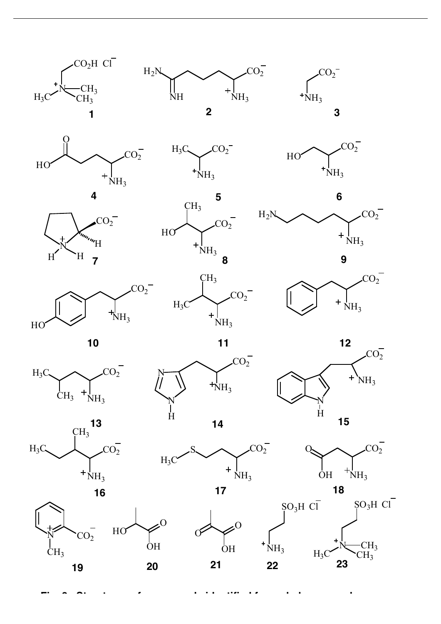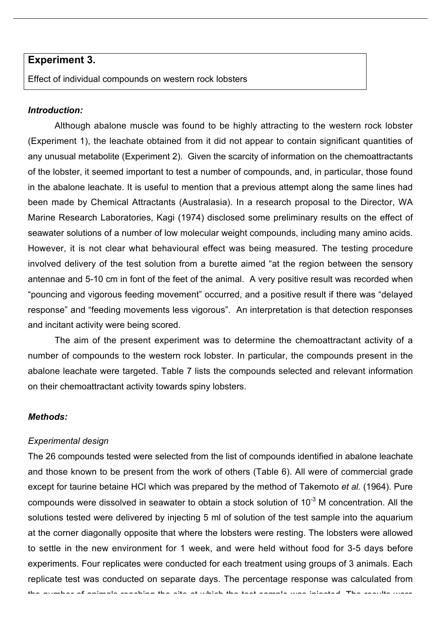#### **Experiment 3.**

Effect of individual compounds on western rock lobsters

#### *Introduction:*

Although abalone muscle was found to be highly attracting to the western rock lobster (Experiment 1), the leachate obtained from it did not appear to contain significant quantities of any unusual metabolite (Experiment 2). Given the scarcity of information on the chemoattractants of the lobster, it seemed important to test a number of compounds, and, in particular, those found in the abalone leachate. It is useful to mention that a previous attempt along the same lines had been made by Chemical Attractants (Australasia). In a research proposal to the Director, WA Marine Research Laboratories, Kagi (1974) disclosed some preliminary results on the effect of seawater solutions of a number of low molecular weight compounds, including many amino acids. However, it is not clear what behavioural effect was being measured. The testing procedure involved delivery of the test solution from a burette aimed "at the region between the sensory antennae and 5-10 cm in font of the feet of the animal. A very positive result was recorded when "pouncing and vigorous feeding movement" occurred, and a positive result if there was "delayed response" and "feeding movements less vigorous". An interpretation is that detection responses and incitant activity were being scored.

The aim of the present experiment was to determine the chemoattractant activity of a number of compounds to the western rock lobster. In particular, the compounds present in the abalone leachate were targeted. Table 7 lists the compounds selected and relevant information on their chemoattractant activity towards spiny lobsters.

#### *Methods:*

#### *Experimental design*

The 26 compounds tested were selected from the list of compounds identified in abalone leachate and those known to be present from the work of others (Table 6). All were of commercial grade except for taurine betaine HCl which was prepared by the method of Takemoto *et al.* (1964). Pure compounds were dissolved in seawater to obtain a stock solution of 10<sup>-3</sup> M concentration. All the solutions tested were delivered by injecting 5 ml of solution of the test sample into the aquarium at the corner diagonally opposite that where the lobsters were resting. The lobsters were allowed to settle in the new environment for 1 week, and were held without food for 3-5 days before experiments. Four replicates were conducted for each treatment using groups of 3 animals. Each replicate test was conducted on separate days. The percentage response was calculated from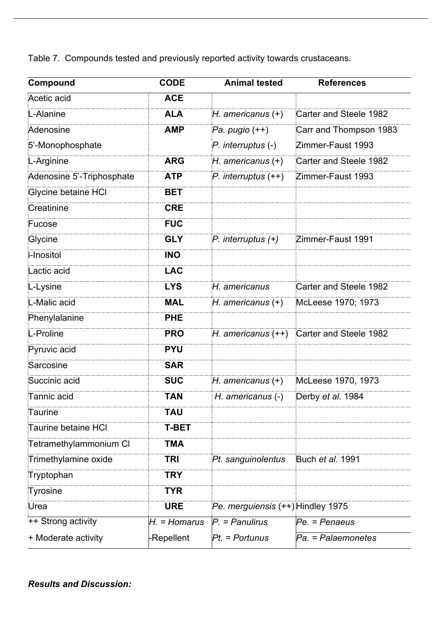Table 7. Compounds tested and previously reported activity towards crustaceans.

| Compound                  | <b>CODE</b>    | <b>Animal tested</b>              | <b>References</b>             |  |
|---------------------------|----------------|-----------------------------------|-------------------------------|--|
| Acetic acid               | <b>ACE</b>     |                                   |                               |  |
| L-Alanine                 | <b>ALA</b>     | $H.$ americanus $(+)$             | Carter and Steele 1982        |  |
| Adenosine                 | <b>AMP</b>     | Pa. pugio $(++)$                  | Carr and Thompson 1983        |  |
| 5'-Monophosphate          |                | $P.$ interruptus $(-)$            | Zimmer-Faust 1993             |  |
| L-Arginine                | <b>ARG</b>     | $H.$ americanus $(+)$             | Carter and Steele 1982        |  |
| Adenosine 5'-Triphosphate | <b>ATP</b>     | $P.$ interruptus $(++)$           | Zimmer-Faust 1993             |  |
| Glycine betaine HCI       | <b>BET</b>     |                                   |                               |  |
| Creatinine                | <b>CRE</b>     |                                   |                               |  |
| Fucose                    | <b>FUC</b>     |                                   |                               |  |
| Glycine                   | <b>GLY</b>     | $P.$ interruptus $(+)$            | Zimmer-Faust 1991             |  |
| i-Inositol                | <b>INO</b>     |                                   |                               |  |
| Lactic acid               | <b>LAC</b>     |                                   |                               |  |
| L-Lysine                  | <b>LYS</b>     | H. americanus                     | <b>Carter and Steele 1982</b> |  |
| L-Malic acid              | <b>MAL</b>     | $H.$ americanus $(+)$             | McLeese 1970; 1973            |  |
| Phenylalanine             | <b>PHE</b>     |                                   |                               |  |
| L-Proline                 | <b>PRO</b>     | $H.$ americanus $(++)$            | Carter and Steele 1982        |  |
| Pyruvic acid              | <b>PYU</b>     |                                   |                               |  |
| Sarcosine                 | <b>SAR</b>     |                                   |                               |  |
| Succinic acid             | <b>SUC</b>     | $H.$ americanus $(+)$             | McLeese 1970, 1973            |  |
| Tannic acid               | <b>TAN</b>     | H. americanus (-)                 | Derby et al. 1984             |  |
| Taurine                   | <b>TAU</b>     |                                   |                               |  |
| Taurine betaine HCI       | <b>T-BET</b>   |                                   |                               |  |
| Tetramethylammonium CI    | <b>TMA</b>     |                                   |                               |  |
| Trimethylamine oxide      | <b>TRI</b>     | Pt. sanguinolentus                | Buch et al. 1991              |  |
| Tryptophan                | <b>TRY</b>     |                                   |                               |  |
| Tyrosine                  | <b>TYR</b>     |                                   |                               |  |
| Urea                      | <b>URE</b>     | Pe. merguiensis (++) Hindley 1975 |                               |  |
| ++ Strong activity        | $H1$ = Homarus | $P =$ Panulirus                   | Pe. = Penaeus                 |  |
| + Moderate activity       | -Repellent     | $Pt =$ Portunus                   | Pa. = Palaemonetes            |  |

*Results and Discussion:*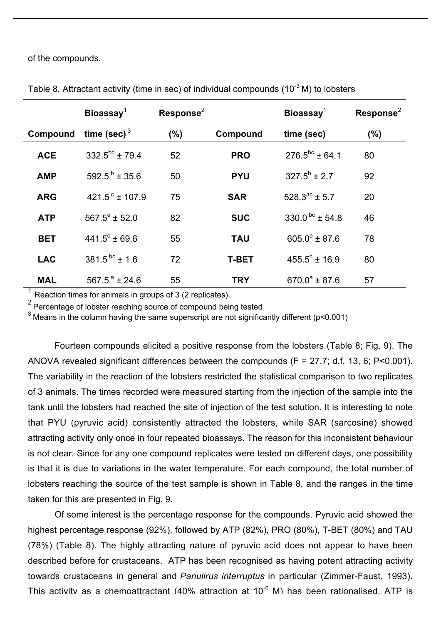of the compounds.

|            | Bioassay $1$              | Response $2$ |              | Bioassay $1$           | $\text{Response}^2$ |
|------------|---------------------------|--------------|--------------|------------------------|---------------------|
| Compound   | time (sec) $3$            | $(\% )$      | Compound     | time (sec)             | $(\%)$              |
| <b>ACE</b> | $332.5^{bc}$ ± 79.4       | 52           | <b>PRO</b>   | $276.5^{bc}$ ± 64.1    | 80                  |
| <b>AMP</b> | 592.5 $b$ ± 35.6          | 50           | <b>PYU</b>   | $327.5^b \pm 2.7$      | 92                  |
| <b>ARG</b> | 421.5 $^{\circ}$ ± 107.9  | 75           | <b>SAR</b>   | $528.3^{ac}$ ± 5.7     | 20                  |
| <b>ATP</b> | $567.5^a \pm 52.0$        | 82           | <b>SUC</b>   | 330.0 $bc + 54.8$      | 46                  |
| <b>BET</b> | $441.5^{\circ}$ ± 69.6    | 55           | <b>TAU</b>   | $605.0^a \pm 87.6$     | 78                  |
| <b>LAC</b> | 381.5 <sup>bc</sup> ± 1.6 | 72           | <b>T-BET</b> | $455.5^{\circ}$ ± 16.9 | 80                  |
| <b>MAL</b> | $567.5^{\text{a}}$ ± 24.6 | 55           | <b>TRY</b>   | $670.0^a \pm 87.6$     | 57                  |

Table 8. Attractant activity (time in sec) of individual compounds (10 $3$  M) to lobsters

Reaction times for animals in groups of 3 (2 replicates).

<sup>2</sup> Percentage of lobster reaching source of compound being tested

3 Means in the column having the same superscript are not significantly different (p<0.001)

Fourteen compounds elicited a positive response from the lobsters (Table 8; Fig. 9). The ANOVA revealed significant differences between the compounds (F = 27.7; d.f. 13, 6; P<0.001). The variability in the reaction of the lobsters restricted the statistical comparison to two replicates of 3 animals. The times recorded were measured starting from the injection of the sample into the tank until the lobsters had reached the site of injection of the test solution. It is interesting to note that PYU (pyruvic acid) consistently attracted the lobsters, while SAR (sarcosine) showed attracting activity only once in four repeated bioassays. The reason for this inconsistent behaviour is not clear. Since for any one compound replicates were tested on different days, one possibility is that it is due to variations in the water temperature. For each compound, the total number of lobsters reaching the source of the test sample is shown in Table 8, and the ranges in the time taken for this are presented in Fig. 9.

Of some interest is the percentage response for the compounds. Pyruvic acid showed the highest percentage response (92%), followed by ATP (82%), PRO (80%), T-BET (80%) and TAU (78%) (Table 8). The highly attracting nature of pyruvic acid does not appear to have been described before for crustaceans. ATP has been recognised as having potent attracting activity towards crustaceans in general and *Panulirus interruptus* in particular (Zimmer-Faust, 1993). This activity as a chemoattractant (40% attraction at 10<sup>-6</sup> M) has been rationalised. ATP is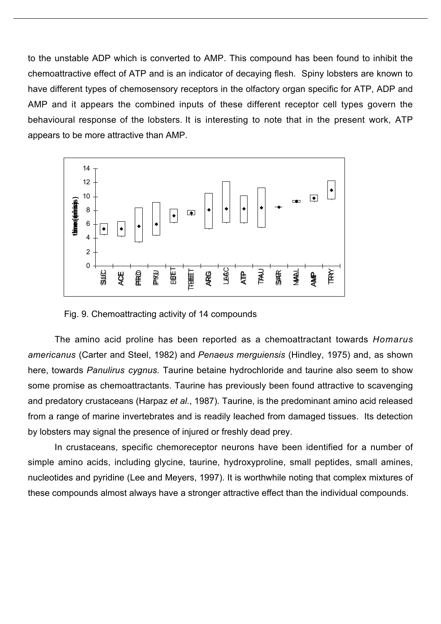to the unstable ADP which is converted to AMP. This compound has been found to inhibit the chemoattractive effect of ATP and is an indicator of decaying flesh. Spiny lobsters are known to have different types of chemosensory receptors in the olfactory organ specific for ATP, ADP and AMP and it appears the combined inputs of these different receptor cell types govern the behavioural response of the lobsters. It is interesting to note that in the present work, ATP appears to be more attractive than AMP.



Fig. 9. Chemoattracting activity of 14 compounds

The amino acid proline has been reported as a chemoattractant towards *Homarus americanus* (Carter and Steel, 1982) and *Penaeus merguiensis* (Hindley, 1975) and, as shown here, towards *Panulirus cygnus.* Taurine betaine hydrochloride and taurine also seem to show some promise as chemoattractants. Taurine has previously been found attractive to scavenging and predatory crustaceans (Harpaz *et al*., 1987). Taurine, is the predominant amino acid released from a range of marine invertebrates and is readily leached from damaged tissues. Its detection by lobsters may signal the presence of injured or freshly dead prey.

In crustaceans, specific chemoreceptor neurons have been identified for a number of simple amino acids, including glycine, taurine, hydroxyproline, small peptides, small amines, nucleotides and pyridine (Lee and Meyers, 1997). It is worthwhile noting that complex mixtures of these compounds almost always have a stronger attractive effect than the individual compounds.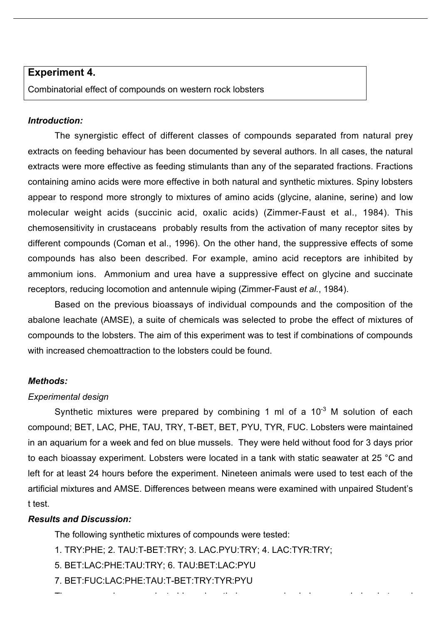#### **Experiment 4.**

Combinatorial effect of compounds on western rock lobsters

#### *Introduction:*

The synergistic effect of different classes of compounds separated from natural prey extracts on feeding behaviour has been documented by several authors. In all cases, the natural extracts were more effective as feeding stimulants than any of the separated fractions. Fractions containing amino acids were more effective in both natural and synthetic mixtures. Spiny lobsters appear to respond more strongly to mixtures of amino acids (glycine, alanine, serine) and low molecular weight acids (succinic acid, oxalic acids) (Zimmer-Faust et al., 1984). This chemosensitivity in crustaceans probably results from the activation of many receptor sites by different compounds (Coman et al., 1996). On the other hand, the suppressive effects of some compounds has also been described. For example, amino acid receptors are inhibited by ammonium ions. Ammonium and urea have a suppressive effect on glycine and succinate receptors, reducing locomotion and antennule wiping (Zimmer-Faust *et al.*, 1984).

Based on the previous bioassays of individual compounds and the composition of the abalone leachate (AMSE), a suite of chemicals was selected to probe the effect of mixtures of compounds to the lobsters. The aim of this experiment was to test if combinations of compounds with increased chemoattraction to the lobsters could be found.

#### *Methods:*

#### *Experimental design*

Synthetic mixtures were prepared by combining 1 ml of a  $10^{-3}$  M solution of each compound; BET, LAC, PHE, TAU, TRY, T-BET, BET, PYU, TYR, FUC. Lobsters were maintained in an aquarium for a week and fed on blue mussels. They were held without food for 3 days prior to each bioassay experiment. Lobsters were located in a tank with static seawater at 25 °C and left for at least 24 hours before the experiment. Nineteen animals were used to test each of the artificial mixtures and AMSE. Differences between means were examined with unpaired Student's t test.

#### *Results and Discussion:*

The following synthetic mixtures of compounds were tested:

- 1. TRY:PHE; 2. TAU:T-BET:TRY; 3. LAC.PYU:TRY; 4. LAC:TYR:TRY;
- 5. BET:LAC:PHE:TAU:TRY; 6. TAU:BET:LAC:PYU
- 7. BET:FUC:LAC:PHE:TAU:T-BET:TRY:TYR:PYU
- The compounds were selected based on their presence in abalone muscle leachate and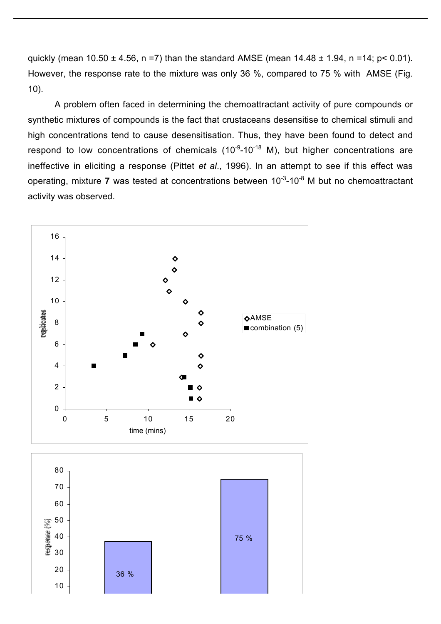quickly (mean  $10.50 \pm 4.56$ , n =7) than the standard AMSE (mean  $14.48 \pm 1.94$ , n =14; p < 0.01). However, the response rate to the mixture was only 36 %, compared to 75 % with AMSE (Fig. 10).

A problem often faced in determining the chemoattractant activity of pure compounds or synthetic mixtures of compounds is the fact that crustaceans desensitise to chemical stimuli and high concentrations tend to cause desensitisation. Thus, they have been found to detect and respond to low concentrations of chemicals  $(10^{-9}-10^{-18}$  M), but higher concentrations are ineffective in eliciting a response (Pittet *et al*., 1996). In an attempt to see if this effect was operating, mixture 7 was tested at concentrations between 10<sup>-3</sup>-10<sup>-8</sup> M but no chemoattractant activity was observed.

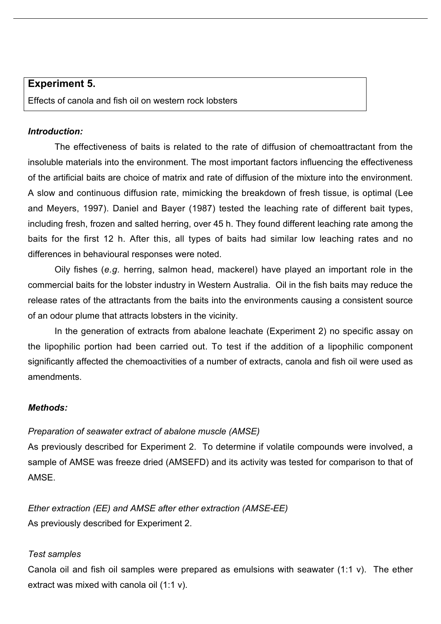#### **Experiment 5.**

Effects of canola and fish oil on western rock lobsters

#### *Introduction:*

The effectiveness of baits is related to the rate of diffusion of chemoattractant from the insoluble materials into the environment. The most important factors influencing the effectiveness of the artificial baits are choice of matrix and rate of diffusion of the mixture into the environment. A slow and continuous diffusion rate, mimicking the breakdown of fresh tissue, is optimal (Lee and Meyers, 1997). Daniel and Bayer (1987) tested the leaching rate of different bait types, including fresh, frozen and salted herring, over 45 h. They found different leaching rate among the baits for the first 12 h. After this, all types of baits had similar low leaching rates and no differences in behavioural responses were noted.

Oily fishes (*e.g.* herring, salmon head, mackerel) have played an important role in the commercial baits for the lobster industry in Western Australia. Oil in the fish baits may reduce the release rates of the attractants from the baits into the environments causing a consistent source of an odour plume that attracts lobsters in the vicinity.

In the generation of extracts from abalone leachate (Experiment 2) no specific assay on the lipophilic portion had been carried out. To test if the addition of a lipophilic component significantly affected the chemoactivities of a number of extracts, canola and fish oil were used as amendments.

#### *Methods:*

#### *Preparation of seawater extract of abalone muscle (AMSE)*

As previously described for Experiment 2. To determine if volatile compounds were involved, a sample of AMSE was freeze dried (AMSEFD) and its activity was tested for comparison to that of AMSE.

*Ether extraction (EE) and AMSE after ether extraction (AMSE-EE)* As previously described for Experiment 2.

#### *Test samples*

Canola oil and fish oil samples were prepared as emulsions with seawater (1:1 v). The ether extract was mixed with canola oil (1:1 v).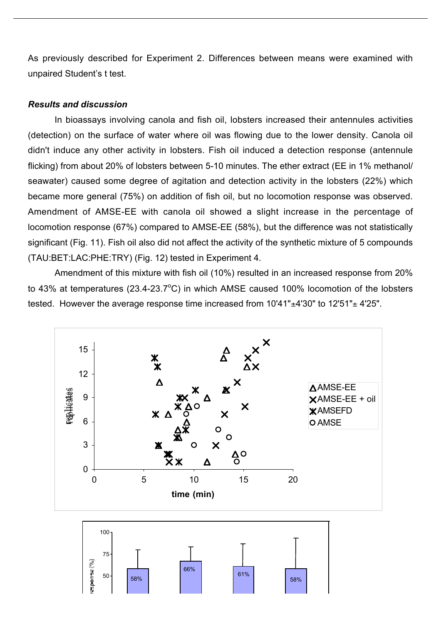As previously described for Experiment 2. Differences between means were examined with unpaired Student's t test.

#### *Results and discussion*

In bioassays involving canola and fish oil, lobsters increased their antennules activities (detection) on the surface of water where oil was flowing due to the lower density. Canola oil didn't induce any other activity in lobsters. Fish oil induced a detection response (antennule flicking) from about 20% of lobsters between 5-10 minutes. The ether extract (EE in 1% methanol/ seawater) caused some degree of agitation and detection activity in the lobsters (22%) which became more general (75%) on addition of fish oil, but no locomotion response was observed. Amendment of AMSE-EE with canola oil showed a slight increase in the percentage of locomotion response (67%) compared to AMSE-EE (58%), but the difference was not statistically significant (Fig. 11). Fish oil also did not affect the activity of the synthetic mixture of 5 compounds (TAU:BET:LAC:PHE:TRY) (Fig. 12) tested in Experiment 4.

Amendment of this mixture with fish oil (10%) resulted in an increased response from 20% to 43% at temperatures (23.4-23.7 $^{\circ}$ C) in which AMSE caused 100% locomotion of the lobsters tested. However the average response time increased from  $10'41"±4'30"$  to  $12'51"±4'25"$ .



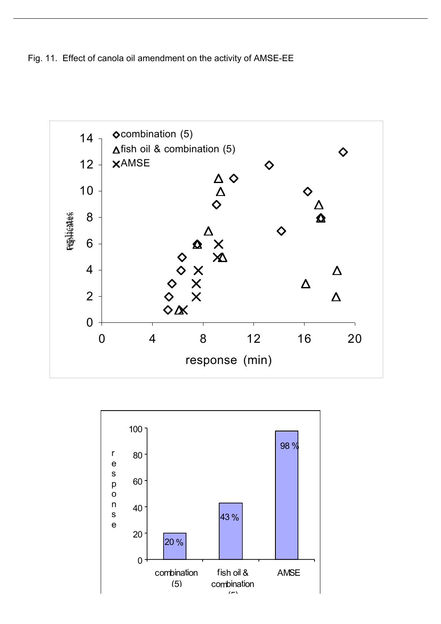Fig. 11. Effect of canola oil amendment on the activity of AMSE-EE



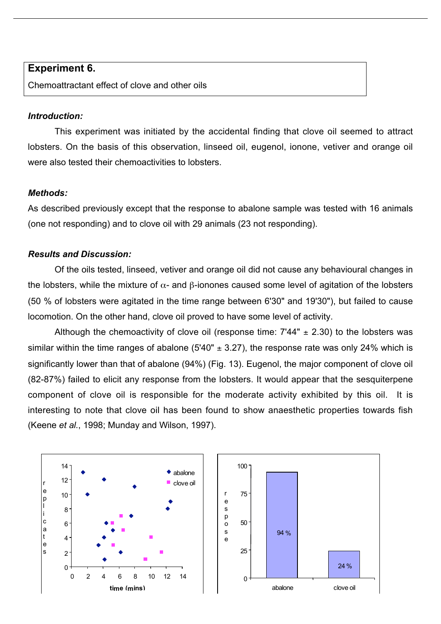#### **Experiment 6.**

Chemoattractant effect of clove and other oils

#### *Introduction:*

This experiment was initiated by the accidental finding that clove oil seemed to attract lobsters. On the basis of this observation, linseed oil, eugenol, ionone, vetiver and orange oil were also tested their chemoactivities to lobsters.

#### *Methods:*

As described previously except that the response to abalone sample was tested with 16 animals (one not responding) and to clove oil with 29 animals (23 not responding).

#### *Results and Discussion:*

Of the oils tested, linseed, vetiver and orange oil did not cause any behavioural changes in the lobsters, while the mixture of  $\alpha$ - and β-ionones caused some level of agitation of the lobsters (50 % of lobsters were agitated in the time range between 6'30" and 19'30"), but failed to cause locomotion. On the other hand, clove oil proved to have some level of activity.

Although the chemoactivity of clove oil (response time:  $7'44'' \pm 2.30$ ) to the lobsters was similar within the time ranges of abalone (5'40"  $\pm$  3.27), the response rate was only 24% which is significantly lower than that of abalone (94%) (Fig. 13). Eugenol, the major component of clove oil (82-87%) failed to elicit any response from the lobsters. It would appear that the sesquiterpene component of clove oil is responsible for the moderate activity exhibited by this oil. It is interesting to note that clove oil has been found to show anaesthetic properties towards fish (Keene *et al.*, 1998; Munday and Wilson, 1997).



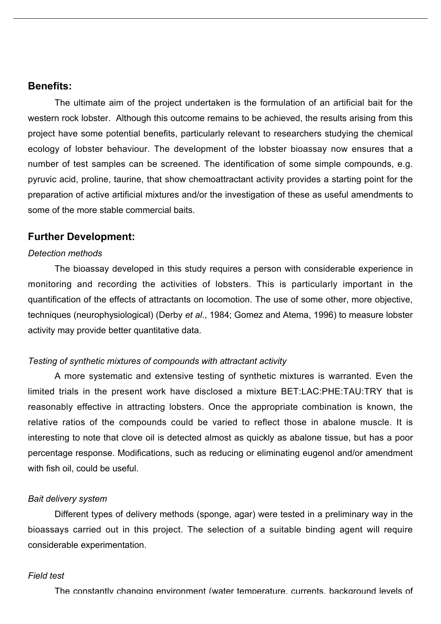#### **Benefits:**

The ultimate aim of the project undertaken is the formulation of an artificial bait for the western rock lobster. Although this outcome remains to be achieved, the results arising from this project have some potential benefits, particularly relevant to researchers studying the chemical ecology of lobster behaviour. The development of the lobster bioassay now ensures that a number of test samples can be screened. The identification of some simple compounds, e.g. pyruvic acid, proline, taurine, that show chemoattractant activity provides a starting point for the preparation of active artificial mixtures and/or the investigation of these as useful amendments to some of the more stable commercial baits.

#### **Further Development:**

#### *Detection methods*

The bioassay developed in this study requires a person with considerable experience in monitoring and recording the activities of lobsters. This is particularly important in the quantification of the effects of attractants on locomotion. The use of some other, more objective, techniques (neurophysiological) (Derby *et al*., 1984; Gomez and Atema, 1996) to measure lobster activity may provide better quantitative data.

#### *Testing of synthetic mixtures of compounds with attractant activity*

A more systematic and extensive testing of synthetic mixtures is warranted. Even the limited trials in the present work have disclosed a mixture BET:LAC:PHE:TAU:TRY that is reasonably effective in attracting lobsters. Once the appropriate combination is known, the relative ratios of the compounds could be varied to reflect those in abalone muscle. It is interesting to note that clove oil is detected almost as quickly as abalone tissue, but has a poor percentage response. Modifications, such as reducing or eliminating eugenol and/or amendment with fish oil, could be useful.

#### *Bait delivery system*

Different types of delivery methods (sponge, agar) were tested in a preliminary way in the bioassays carried out in this project. The selection of a suitable binding agent will require considerable experimentation.

#### *Field test*

The constantly changing environment (water temperature, currents, background levels of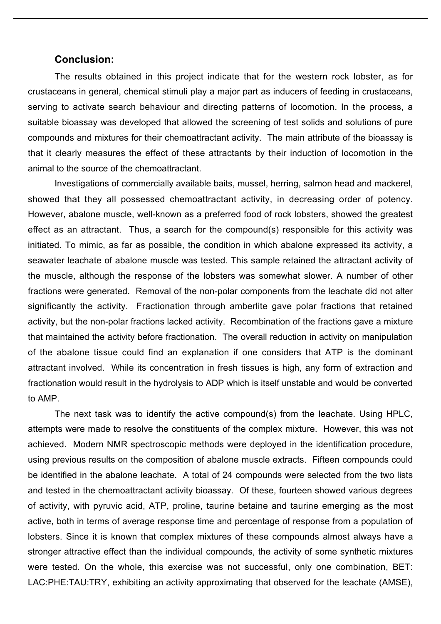#### **Conclusion:**

The results obtained in this project indicate that for the western rock lobster, as for crustaceans in general, chemical stimuli play a major part as inducers of feeding in crustaceans, serving to activate search behaviour and directing patterns of locomotion. In the process, a suitable bioassay was developed that allowed the screening of test solids and solutions of pure compounds and mixtures for their chemoattractant activity. The main attribute of the bioassay is that it clearly measures the effect of these attractants by their induction of locomotion in the animal to the source of the chemoattractant.

Investigations of commercially available baits, mussel, herring, salmon head and mackerel, showed that they all possessed chemoattractant activity, in decreasing order of potency. However, abalone muscle, well-known as a preferred food of rock lobsters, showed the greatest effect as an attractant. Thus, a search for the compound(s) responsible for this activity was initiated. To mimic, as far as possible, the condition in which abalone expressed its activity, a seawater leachate of abalone muscle was tested. This sample retained the attractant activity of the muscle, although the response of the lobsters was somewhat slower. A number of other fractions were generated. Removal of the non-polar components from the leachate did not alter significantly the activity. Fractionation through amberlite gave polar fractions that retained activity, but the non-polar fractions lacked activity. Recombination of the fractions gave a mixture that maintained the activity before fractionation. The overall reduction in activity on manipulation of the abalone tissue could find an explanation if one considers that ATP is the dominant attractant involved. While its concentration in fresh tissues is high, any form of extraction and fractionation would result in the hydrolysis to ADP which is itself unstable and would be converted to AMP.

The next task was to identify the active compound(s) from the leachate. Using HPLC, attempts were made to resolve the constituents of the complex mixture. However, this was not achieved. Modern NMR spectroscopic methods were deployed in the identification procedure, using previous results on the composition of abalone muscle extracts. Fifteen compounds could be identified in the abalone leachate. A total of 24 compounds were selected from the two lists and tested in the chemoattractant activity bioassay. Of these, fourteen showed various degrees of activity, with pyruvic acid, ATP, proline, taurine betaine and taurine emerging as the most active, both in terms of average response time and percentage of response from a population of lobsters. Since it is known that complex mixtures of these compounds almost always have a stronger attractive effect than the individual compounds, the activity of some synthetic mixtures were tested. On the whole, this exercise was not successful, only one combination, BET: LAC:PHE:TAU:TRY, exhibiting an activity approximating that observed for the leachate (AMSE),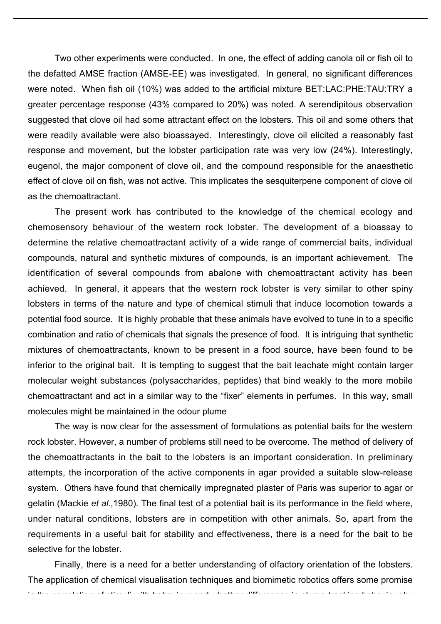Two other experiments were conducted. In one, the effect of adding canola oil or fish oil to the defatted AMSE fraction (AMSE-EE) was investigated. In general, no significant differences were noted. When fish oil (10%) was added to the artificial mixture BET:LAC:PHE:TAU:TRY a greater percentage response (43% compared to 20%) was noted. A serendipitous observation suggested that clove oil had some attractant effect on the lobsters. This oil and some others that were readily available were also bioassayed. Interestingly, clove oil elicited a reasonably fast response and movement, but the lobster participation rate was very low (24%). Interestingly, eugenol, the major component of clove oil, and the compound responsible for the anaesthetic effect of clove oil on fish, was not active. This implicates the sesquiterpene component of clove oil as the chemoattractant.

The present work has contributed to the knowledge of the chemical ecology and chemosensory behaviour of the western rock lobster. The development of a bioassay to determine the relative chemoattractant activity of a wide range of commercial baits, individual compounds, natural and synthetic mixtures of compounds, is an important achievement. The identification of several compounds from abalone with chemoattractant activity has been achieved. In general, it appears that the western rock lobster is very similar to other spiny lobsters in terms of the nature and type of chemical stimuli that induce locomotion towards a potential food source. It is highly probable that these animals have evolved to tune in to a specific combination and ratio of chemicals that signals the presence of food. It is intriguing that synthetic mixtures of chemoattractants, known to be present in a food source, have been found to be inferior to the original bait. It is tempting to suggest that the bait leachate might contain larger molecular weight substances (polysaccharides, peptides) that bind weakly to the more mobile chemoattractant and act in a similar way to the "fixer" elements in perfumes. In this way, small molecules might be maintained in the odour plume

The way is now clear for the assessment of formulations as potential baits for the western rock lobster. However, a number of problems still need to be overcome. The method of delivery of the chemoattractants in the bait to the lobsters is an important consideration. In preliminary attempts, the incorporation of the active components in agar provided a suitable slow-release system. Others have found that chemically impregnated plaster of Paris was superior to agar or gelatin (Mackie *et al.*,1980). The final test of a potential bait is its performance in the field where, under natural conditions, lobsters are in competition with other animals. So, apart from the requirements in a useful bait for stability and effectiveness, there is a need for the bait to be selective for the lobster.

Finally, there is a need for a better understanding of olfactory orientation of the lobsters. The application of chemical visualisation techniques and biomimetic robotics offers some promise

in the correlation of stimuli with behaviour and whether differences in plume-tracking behaviour by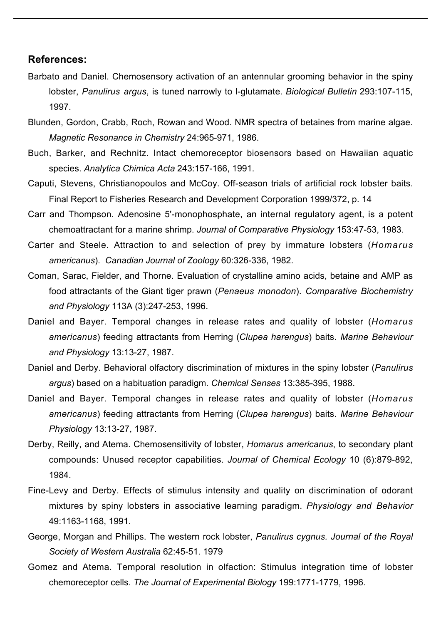#### **References:**

- Barbato and Daniel. Chemosensory activation of an antennular grooming behavior in the spiny lobster, *Panulirus argus*, is tuned narrowly to l-glutamate. *Biological Bulletin* 293:107-115, 1997.
- Blunden, Gordon, Crabb, Roch, Rowan and Wood. NMR spectra of betaines from marine algae. *Magnetic Resonance in Chemistry* 24:965-971, 1986.
- Buch, Barker, and Rechnitz. Intact chemoreceptor biosensors based on Hawaiian aquatic species. *Analytica Chimica Acta* 243:157-166, 1991.
- Caputi, Stevens, Christianopoulos and McCoy. Off-season trials of artificial rock lobster baits. Final Report to Fisheries Research and Development Corporation 1999/372, p. 14
- Carr and Thompson. Adenosine 5'-monophosphate, an internal regulatory agent, is a potent chemoattractant for a marine shrimp. *Journal of Comparative Physiology* 153:47-53, 1983.
- Carter and Steele. Attraction to and selection of prey by immature lobsters (*Homarus americanus*). *Canadian Journal of Zoology* 60:326-336, 1982.
- Coman, Sarac, Fielder, and Thorne. Evaluation of crystalline amino acids, betaine and AMP as food attractants of the Giant tiger prawn (*Penaeus monodon*). *Comparative Biochemistry and Physiology* 113A (3):247-253, 1996.
- Daniel and Bayer. Temporal changes in release rates and quality of lobster (*Homarus americanus*) feeding attractants from Herring (*Clupea harengus*) baits. *Marine Behaviour and Physiology* 13:13-27, 1987.
- Daniel and Derby. Behavioral olfactory discrimination of mixtures in the spiny lobster (*Panulirus argus*) based on a habituation paradigm. *Chemical Senses* 13:385-395, 1988.
- Daniel and Bayer. Temporal changes in release rates and quality of lobster (*Homarus americanus*) feeding attractants from Herring (*Clupea harengus*) baits. *Marine Behaviour Physiology* 13:13-27, 1987.
- Derby, Reilly, and Atema. Chemosensitivity of lobster, *Homarus americanus*, to secondary plant compounds: Unused receptor capabilities. *Journal of Chemical Ecology* 10 (6):879-892, 1984.
- Fine-Levy and Derby. Effects of stimulus intensity and quality on discrimination of odorant mixtures by spiny lobsters in associative learning paradigm. *Physiology and Behavior* 49:1163-1168, 1991.
- George, Morgan and Phillips. The western rock lobster, *Panulirus cygnus. Journal of the Royal Society of Western Australia* 62:45-51. 1979
- Gomez and Atema. Temporal resolution in olfaction: Stimulus integration time of lobster chemoreceptor cells. *The Journal of Experimental Biology* 199:1771-1779, 1996.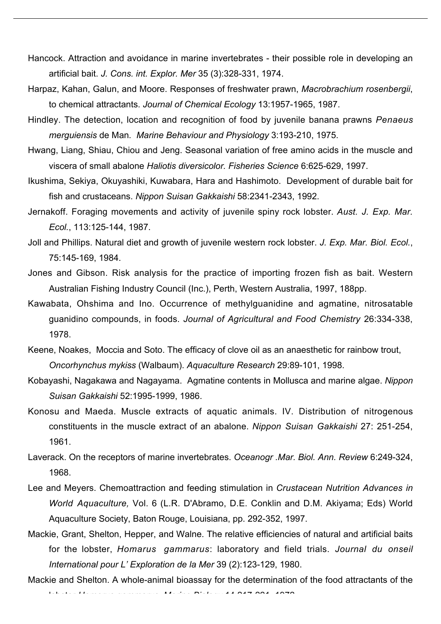- Hancock. Attraction and avoidance in marine invertebrates their possible role in developing an artificial bait. *J. Cons. int. Explor. Mer* 35 (3):328-331, 1974.
- Harpaz, Kahan, Galun, and Moore. Responses of freshwater prawn, *Macrobrachium rosenbergii*, to chemical attractants. *Journal of Chemical Ecology* 13:1957-1965, 1987.
- Hindley. The detection, location and recognition of food by juvenile banana prawns *Penaeus merguiensis* de Man*. Marine Behaviour and Physiology* 3:193-210, 1975.
- Hwang, Liang, Shiau, Chiou and Jeng. Seasonal variation of free amino acids in the muscle and viscera of small abalone *Haliotis diversicolor. Fisheries Science* 6:625-629, 1997.
- Ikushima, Sekiya, Okuyashiki, Kuwabara, Hara and Hashimoto. Development of durable bait for fish and crustaceans. *Nippon Suisan Gakkaishi* 58:2341-2343, 1992.
- Jernakoff. Foraging movements and activity of juvenile spiny rock lobster. *Aust. J. Exp. Mar. Ecol.*, 113:125-144, 1987.
- Joll and Phillips. Natural diet and growth of juvenile western rock lobster. *J. Exp. Mar. Biol. Ecol.*, 75:145-169, 1984.
- Jones and Gibson. Risk analysis for the practice of importing frozen fish as bait. Western Australian Fishing Industry Council (Inc.), Perth, Western Australia, 1997, 188pp.
- Kawabata, Ohshima and Ino. Occurrence of methylguanidine and agmatine, nitrosatable guanidino compounds, in foods. *Journal of Agricultural and Food Chemistry* 26:334-338, 1978.
- Keene, Noakes, Moccia and Soto. The efficacy of clove oil as an anaesthetic for rainbow trout, *Oncorhynchus mykiss* (Walbaum). *Aquaculture Research* 29:89-101, 1998.
- Kobayashi, Nagakawa and Nagayama. Agmatine contents in Mollusca and marine algae. *Nippon Suisan Gakkaishi* 52:1995-1999, 1986.
- Konosu and Maeda. Muscle extracts of aquatic animals. IV. Distribution of nitrogenous constituents in the muscle extract of an abalone. *Nippon Suisan Gakkaishi* 27: 251-254, 1961.
- Laverack. On the receptors of marine invertebrates. *Oceanogr .Mar. Biol. Ann. Review* 6:249-324, 1968.
- Lee and Meyers. Chemoattraction and feeding stimulation in *Crustacean Nutrition Advances in World Aquaculture,* Vol. 6 (L.R. D'Abramo, D.E. Conklin and D.M. Akiyama; Eds) World Aquaculture Society, Baton Rouge, Louisiana, pp. 292-352, 1997.
- Mackie, Grant, Shelton, Hepper, and Walne. The relative efficiencies of natural and artificial baits for the lobster, *Homarus gammarus*: laboratory and field trials. *Journal du onseil International pour L' Exploration de la Mer* 39 (2):123-129, 1980.
- Mackie and Shelton. A whole-animal bioassay for the determination of the food attractants of the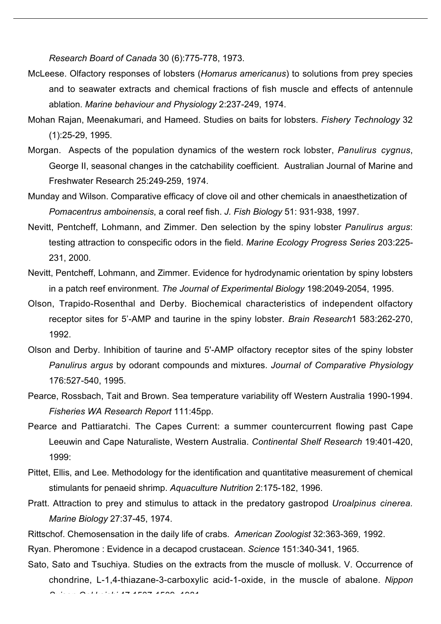*Research Board of Canada* 30 (6):775-778, 1973.

- McLeese. Olfactory responses of lobsters (*Homarus americanus*) to solutions from prey species and to seawater extracts and chemical fractions of fish muscle and effects of antennule ablation. *Marine behaviour and Physiology* 2:237-249, 1974.
- Mohan Rajan, Meenakumari, and Hameed. Studies on baits for lobsters. *Fishery Technology* 32 (1):25-29, 1995.
- Morgan. Aspects of the population dynamics of the western rock lobster, *Panulirus cygnus*, George II, seasonal changes in the catchability coefficient. Australian Journal of Marine and Freshwater Research 25:249-259, 1974.
- Munday and Wilson. Comparative efficacy of clove oil and other chemicals in anaesthetization of *Pomacentrus amboinensis*, a coral reef fish. *J. Fish Biology* 51: 931-938, 1997.
- Nevitt, Pentcheff, Lohmann, and Zimmer. Den selection by the spiny lobster *Panulirus argus*: testing attraction to conspecific odors in the field. *Marine Ecology Progress Series* 203:225- 231, 2000.
- Nevitt, Pentcheff, Lohmann, and Zimmer. Evidence for hydrodynamic orientation by spiny lobsters in a patch reef environment. *The Journal of Experimental Biology* 198:2049-2054, 1995.
- Olson, Trapido-Rosenthal and Derby. Biochemical characteristics of independent olfactory receptor sites for 5'-AMP and taurine in the spiny lobster. *Brain Research*1 583:262-270, 1992.
- Olson and Derby. Inhibition of taurine and 5'-AMP olfactory receptor sites of the spiny lobster *Panulirus argus* by odorant compounds and mixtures. *Journal of Comparative Physiology* 176:527-540, 1995.
- Pearce, Rossbach, Tait and Brown. Sea temperature variability off Western Australia 1990-1994. *Fisheries WA Research Report* 111:45pp.
- Pearce and Pattiaratchi. The Capes Current: a summer countercurrent flowing past Cape Leeuwin and Cape Naturaliste, Western Australia. *Continental Shelf Research* 19:401-420, 1999:
- Pittet, Ellis, and Lee. Methodology for the identification and quantitative measurement of chemical stimulants for penaeid shrimp. *Aquaculture Nutrition* 2:175-182, 1996.
- Pratt. Attraction to prey and stimulus to attack in the predatory gastropod *Uroalpinus cinerea. Marine Biology* 27:37-45, 1974.
- Rittschof. Chemosensation in the daily life of crabs. *American Zoologist* 32:363-369, 1992.
- Ryan. Pheromone : Evidence in a decapod crustacean. *Science* 151:340-341, 1965.
- Sato, Sato and Tsuchiya. Studies on the extracts from the muscle of mollusk. V. Occurrence of chondrine, L-1,4-thiazane-3-carboxylic acid-1-oxide, in the muscle of abalone. *Nippon Suisan Gakkaishi* 47:1507-1509, 1981.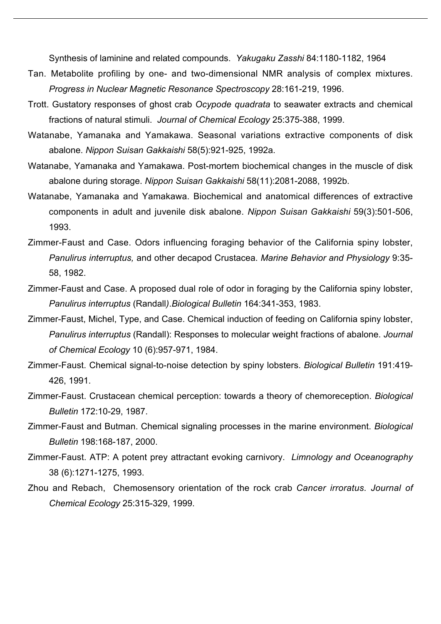Synthesis of laminine and related compounds. *Yakugaku Zasshi* 84:1180-1182, 1964

- Tan. Metabolite profiling by one- and two-dimensional NMR analysis of complex mixtures. *Progress in Nuclear Magnetic Resonance Spectroscopy* 28:161-219, 1996.
- Trott. Gustatory responses of ghost crab *Ocypode quadrata* to seawater extracts and chemical fractions of natural stimuli. *Journal of Chemical Ecology* 25:375-388, 1999.
- Watanabe, Yamanaka and Yamakawa. Seasonal variations extractive components of disk abalone. *Nippon Suisan Gakkaishi* 58(5):921-925, 1992a.
- Watanabe, Yamanaka and Yamakawa. Post-mortem biochemical changes in the muscle of disk abalone during storage. *Nippon Suisan Gakkaishi* 58(11):2081-2088, 1992b.
- Watanabe, Yamanaka and Yamakawa. Biochemical and anatomical differences of extractive components in adult and juvenile disk abalone. *Nippon Suisan Gakkaishi* 59(3):501-506, 1993.
- Zimmer-Faust and Case. Odors influencing foraging behavior of the California spiny lobster, *Panulirus interruptus,* and other decapod Crustacea. *Marine Behavior and Physiology* 9:35- 58, 1982.
- Zimmer-Faust and Case. A proposed dual role of odor in foraging by the California spiny lobster, *Panulirus interruptus* (Randall*)*.*Biological Bulletin* 164:341-353, 1983.
- Zimmer-Faust, Michel, Type, and Case. Chemical induction of feeding on California spiny lobster, *Panulirus interruptus* (Randall): Responses to molecular weight fractions of abalone. *Journal of Chemical Ecology* 10 (6):957-971, 1984.
- Zimmer-Faust. Chemical signal-to-noise detection by spiny lobsters. *Biological Bulletin* 191:419- 426, 1991.
- Zimmer-Faust. Crustacean chemical perception: towards a theory of chemoreception. *Biological Bulletin* 172:10-29, 1987.
- Zimmer-Faust and Butman. Chemical signaling processes in the marine environment. *Biological Bulletin* 198:168-187, 2000.
- Zimmer-Faust. ATP: A potent prey attractant evoking carnivory. *Limnology and Oceanography* 38 (6):1271-1275, 1993.
- Zhou and Rebach, Chemosensory orientation of the rock crab *Cancer irroratus. Journal of Chemical Ecology* 25:315-329, 1999.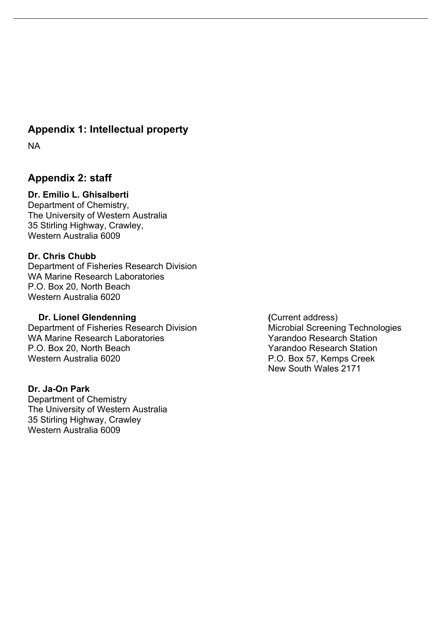## **Appendix 1: Intellectual property**

NA

## **Appendix 2: staff**

#### **Dr. Emilio L. Ghisalberti**

Department of Chemistry, The University of Western Australia 35 Stirling Highway, Crawley, Western Australia 6009

#### **Dr. Chris Chubb**

Department of Fisheries Research Division WA Marine Research Laboratories P.O. Box 20, North Beach Western Australia 6020

#### **Dr. Lionel Glendenning (Current address)**

Department of Fisheries Research Division Microbial Screening Technologies WA Marine Research Laboratories **WA Marine Research Station** P.O. Box 20, North Beach Yarandoo Research Station Western Australia 6020 **P.O. Box 57, Kemps Creek** 

#### **Dr. Ja-On Park**

Department of Chemistry The University of Western Australia 35 Stirling Highway, Crawley Western Australia 6009

New South Wales 2171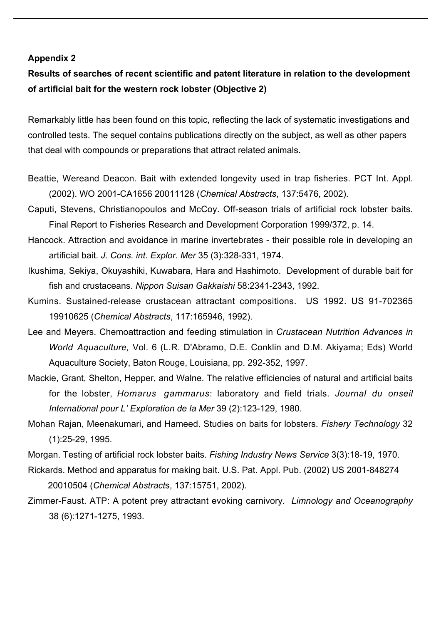#### **Appendix 2**

## **Results of searches of recent scientific and patent literature in relation to the development of artificial bait for the western rock lobster (Objective 2)**

Remarkably little has been found on this topic, reflecting the lack of systematic investigations and controlled tests. The sequel contains publications directly on the subject, as well as other papers that deal with compounds or preparations that attract related animals.

- Beattie, Wereand Deacon. Bait with extended longevity used in trap fisheries. PCT Int. Appl. (2002). WO 2001-CA1656 20011128 (*Chemical Abstracts*, 137:5476, 2002).
- Caputi, Stevens, Christianopoulos and McCoy. Off-season trials of artificial rock lobster baits. Final Report to Fisheries Research and Development Corporation 1999/372, p. 14.
- Hancock. Attraction and avoidance in marine invertebrates their possible role in developing an artificial bait. *J. Cons. int. Explor. Mer* 35 (3):328-331, 1974.
- Ikushima, Sekiya, Okuyashiki, Kuwabara, Hara and Hashimoto. Development of durable bait for fish and crustaceans. *Nippon Suisan Gakkaishi* 58:2341-2343, 1992.
- Kumins. Sustained-release crustacean attractant compositions. US 1992. US 91-702365 19910625 (*Chemical Abstracts*, 117:165946, 1992).
- Lee and Meyers. Chemoattraction and feeding stimulation in *Crustacean Nutrition Advances in World Aquaculture,* Vol. 6 (L.R. D'Abramo, D.E. Conklin and D.M. Akiyama; Eds) World Aquaculture Society, Baton Rouge, Louisiana, pp. 292-352, 1997.
- Mackie, Grant, Shelton, Hepper, and Walne. The relative efficiencies of natural and artificial baits for the lobster, *Homarus gammarus*: laboratory and field trials. *Journal du onseil International pour L' Exploration de la Mer* 39 (2):123-129, 1980.
- Mohan Rajan, Meenakumari, and Hameed. Studies on baits for lobsters. *Fishery Technology* 32 (1):25-29, 1995.
- Morgan. Testing of artificial rock lobster baits. *Fishing Industry News Service* 3(3):18-19, 1970.
- Rickards. Method and apparatus for making bait. U.S. Pat. Appl. Pub. (2002) US 2001-848274 20010504 (*Chemical Abstract*s, 137:15751, 2002).
- Zimmer-Faust. ATP: A potent prey attractant evoking carnivory. *Limnology and Oceanography* 38 (6):1271-1275, 1993.